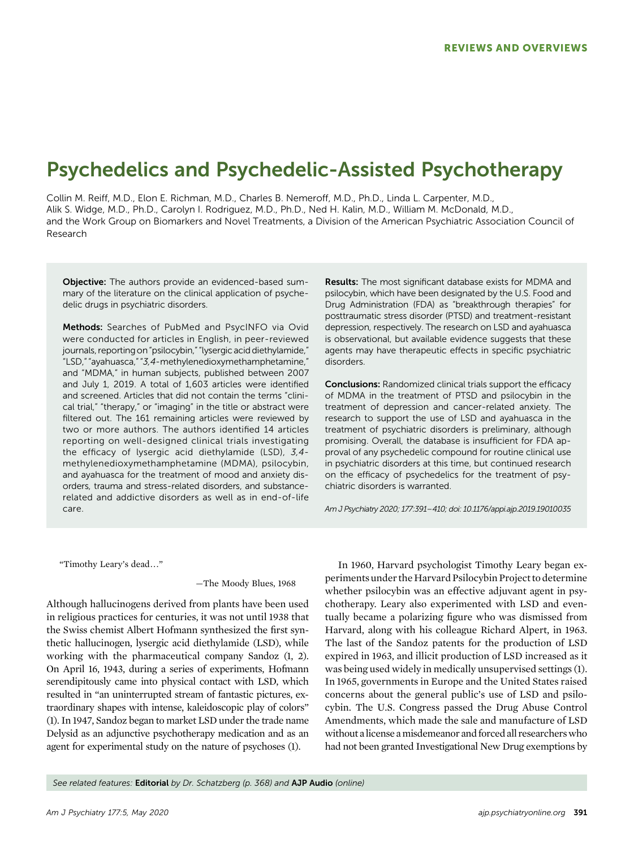# Psychedelics and Psychedelic-Assisted Psychotherapy

Collin M. Reiff, M.D., Elon E. Richman, M.D., Charles B. Nemeroff, M.D., Ph.D., Linda L. Carpenter, M.D., Alik S. Widge, M.D., Ph.D., Carolyn I. Rodriguez, M.D., Ph.D., Ned H. Kalin, M.D., William M. McDonald, M.D., and the Work Group on Biomarkers and Novel Treatments, a Division of the American Psychiatric Association Council of Research

Objective: The authors provide an evidenced-based summary of the literature on the clinical application of psychedelic drugs in psychiatric disorders.

Methods: Searches of PubMed and PsycINFO via Ovid were conducted for articles in English, in peer-reviewed journals, reporting on "psilocybin," "lysergic acid diethylamide," "LSD," "ayahuasca," "3,4-methylenedioxymethamphetamine," and "MDMA," in human subjects, published between 2007 and July 1, 2019. A total of 1,603 articles were identified and screened. Articles that did not contain the terms "clinical trial," "therapy," or "imaging" in the title or abstract were filtered out. The 161 remaining articles were reviewed by two or more authors. The authors identified 14 articles reporting on well-designed clinical trials investigating the efficacy of lysergic acid diethylamide (LSD), 3,4 methylenedioxymethamphetamine (MDMA), psilocybin, and ayahuasca for the treatment of mood and anxiety disorders, trauma and stress-related disorders, and substancerelated and addictive disorders as well as in end-of-life care.

Results: The most significant database exists for MDMA and psilocybin, which have been designated by the U.S. Food and Drug Administration (FDA) as "breakthrough therapies" for posttraumatic stress disorder (PTSD) and treatment-resistant depression, respectively. The research on LSD and ayahuasca is observational, but available evidence suggests that these agents may have therapeutic effects in specific psychiatric disorders.

Conclusions: Randomized clinical trials support the efficacy of MDMA in the treatment of PTSD and psilocybin in the treatment of depression and cancer-related anxiety. The research to support the use of LSD and ayahuasca in the treatment of psychiatric disorders is preliminary, although promising. Overall, the database is insufficient for FDA approval of any psychedelic compound for routine clinical use in psychiatric disorders at this time, but continued research on the efficacy of psychedelics for the treatment of psychiatric disorders is warranted.

Am J Psychiatry 2020; 177:391–410; doi: 10.1176/appi.ajp.2019.19010035

"Timothy Leary's dead…"

#### —The Moody Blues, 1968

Although hallucinogens derived from plants have been used in religious practices for centuries, it was not until 1938 that the Swiss chemist Albert Hofmann synthesized the first synthetic hallucinogen, lysergic acid diethylamide (LSD), while working with the pharmaceutical company Sandoz (1, 2). On April 16, 1943, during a series of experiments, Hofmann serendipitously came into physical contact with LSD, which resulted in "an uninterrupted stream of fantastic pictures, extraordinary shapes with intense, kaleidoscopic play of colors" (1). In 1947, Sandoz began to market LSD under the trade name Delysid as an adjunctive psychotherapy medication and as an agent for experimental study on the nature of psychoses (1).

In 1960, Harvard psychologist Timothy Leary began experiments under the Harvard Psilocybin Project to determine whether psilocybin was an effective adjuvant agent in psychotherapy. Leary also experimented with LSD and eventually became a polarizing figure who was dismissed from Harvard, along with his colleague Richard Alpert, in 1963. The last of the Sandoz patents for the production of LSD expired in 1963, and illicit production of LSD increased as it was being used widely in medically unsupervised settings (1). In 1965, governments in Europe and the United States raised concerns about the general public's use of LSD and psilocybin. The U.S. Congress passed the Drug Abuse Control Amendments, which made the sale and manufacture of LSD without alicense amisdemeanor and forced all researchers who had not been granted Investigational New Drug exemptions by

See related features: Editorial by Dr. Schatzberg (p. 368) and AJP Audio (online)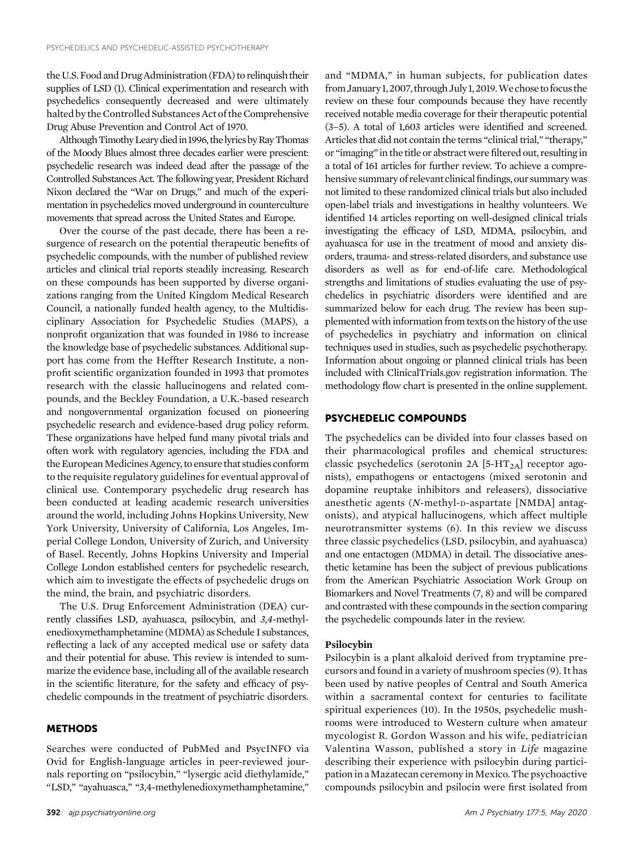the U.S. Food and Drug Administration (FDA) to relinquish their supplies of LSD (1). Clinical experimentation and research with psychedelics consequently decreased and were ultimately halted by the Controlled Substances Act of the Comprehensive Drug Abuse Prevention and Control Act of 1970.

Although Timothy Leary died in 1996, the lyrics by Ray Thomas of the Moody Blues almost three decades earlier were prescient: psychedelic research was indeed dead after the passage of the Controlled Substances Act. The following year, President Richard Nixon declared the "War on Drugs," and much of the experimentation in psychedelics moved underground in counterculture movements that spread across the United States and Europe.

Over the course of the past decade, there has been a resurgence of research on the potential therapeutic benefits of psychedelic compounds, with the number of published review articles and clinical trial reports steadily increasing. Research on these compounds has been supported by diverse organizations ranging from the United Kingdom Medical Research Council, a nationally funded health agency, to the Multidisciplinary Association for Psychedelic Studies (MAPS), a nonprofit organization that was founded in 1986 to increase the knowledge base of psychedelic substances. Additional support has come from the Heffter Research Institute, a nonprofit scientific organization founded in 1993 that promotes research with the classic hallucinogens and related compounds, and the Beckley Foundation, a U.K.-based research and nongovernmental organization focused on pioneering psychedelic research and evidence-based drug policy reform. These organizations have helped fund many pivotal trials and often work with regulatory agencies, including the FDA and the European Medicines Agency, to ensure that studies conform to the requisite regulatory guidelines for eventual approval of clinical use. Contemporary psychedelic drug research has been conducted at leading academic research universities around the world, including Johns Hopkins University, New York University, University of California, Los Angeles, Imperial College London, University of Zurich, and University of Basel. Recently, Johns Hopkins University and Imperial College London established centers for psychedelic research, which aim to investigate the effects of psychedelic drugs on the mind, the brain, and psychiatric disorders.

The U.S. Drug Enforcement Administration (DEA) currently classifies LSD, ayahuasca, psilocybin, and 3,4-methylenedioxymethamphetamine (MDMA) as Schedule I substances, reflecting a lack of any accepted medical use or safety data and their potential for abuse. This review is intended to summarize the evidence base, including all of the available research in the scientific literature, for the safety and efficacy of psychedelic compounds in the treatment of psychiatric disorders.

## METHODS

Searches were conducted of PubMed and PsycINFO via Ovid for English-language articles in peer-reviewed journals reporting on "psilocybin," "lysergic acid diethylamide," "LSD," "ayahuasca," "3,4-methylenedioxymethamphetamine," and "MDMA," in human subjects, for publication dates from January 1, 2007, through July 1, 2019.Wechose to focus the review on these four compounds because they have recently received notable media coverage for their therapeutic potential (3–5). A total of 1,603 articles were identified and screened. Articles that did not contain the terms "clinical trial," "therapy," or "imaging" in the title or abstract were filtered out, resulting in a total of 161 articles for further review. To achieve a comprehensive summary of relevant clinical findings, our summary was not limited to these randomized clinical trials but also included open-label trials and investigations in healthy volunteers. We identified 14 articles reporting on well-designed clinical trials investigating the efficacy of LSD, MDMA, psilocybin, and ayahuasca for use in the treatment of mood and anxiety disorders, trauma- and stress-related disorders, and substance use disorders as well as for end-of-life care. Methodological strengths and limitations of studies evaluating the use of psychedelics in psychiatric disorders were identified and are summarized below for each drug. The review has been supplemented with information from texts on the history of the use of psychedelics in psychiatry and information on clinical techniques used in studies, such as psychedelic psychotherapy. Information about ongoing or planned clinical trials has been included with ClinicalTrials.gov registration information. The methodology flow chart is presented in the online supplement.

## PSYCHEDELIC COMPOUNDS

The psychedelics can be divided into four classes based on their pharmacological profiles and chemical structures: classic psychedelics (serotonin 2A [5-HT<sub>2A</sub>] receptor agonists), empathogens or entactogens (mixed serotonin and dopamine reuptake inhibitors and releasers), dissociative anesthetic agents (N-methyl-D-aspartate [NMDA] antagonists), and atypical hallucinogens, which affect multiple neurotransmitter systems (6). In this review we discuss three classic psychedelics (LSD, psilocybin, and ayahuasca) and one entactogen (MDMA) in detail. The dissociative anesthetic ketamine has been the subject of previous publications from the American Psychiatric Association Work Group on Biomarkers and Novel Treatments (7, 8) and will be compared and contrasted with these compounds in the section comparing the psychedelic compounds later in the review.

#### Psilocybin

Psilocybin is a plant alkaloid derived from tryptamine precursors and found in a variety of mushroom species (9). It has been used by native peoples of Central and South America within a sacramental context for centuries to facilitate spiritual experiences (10). In the 1950s, psychedelic mushrooms were introduced to Western culture when amateur mycologist R. Gordon Wasson and his wife, pediatrician Valentina Wasson, published a story in Life magazine describing their experience with psilocybin during participation in aMazatecan ceremonyinMexico. The psychoactive compounds psilocybin and psilocin were first isolated from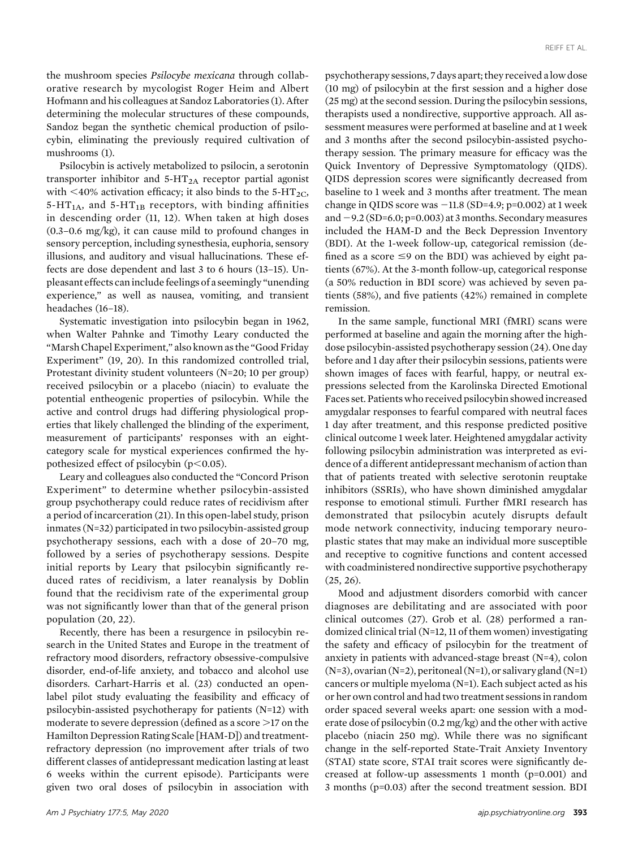the mushroom species Psilocybe mexicana through collaborative research by mycologist Roger Heim and Albert Hofmann and his colleagues at Sandoz Laboratories (1). After determining the molecular structures of these compounds, Sandoz began the synthetic chemical production of psilocybin, eliminating the previously required cultivation of mushrooms (1).

Psilocybin is actively metabolized to psilocin, a serotonin transporter inhibitor and  $5-HT_{2A}$  receptor partial agonist with  $\leq$ 40% activation efficacy; it also binds to the 5-HT<sub>2C</sub>, 5-HT<sub>1A</sub>, and 5-HT<sub>1B</sub> receptors, with binding affinities in descending order (11, 12). When taken at high doses (0.3–0.6 mg/kg), it can cause mild to profound changes in sensory perception, including synesthesia, euphoria, sensory illusions, and auditory and visual hallucinations. These effects are dose dependent and last 3 to 6 hours (13–15). Unpleasant effects can include feelings of a seemingly "unending experience," as well as nausea, vomiting, and transient headaches (16–18).

Systematic investigation into psilocybin began in 1962, when Walter Pahnke and Timothy Leary conducted the "Marsh Chapel Experiment," also known as the "Good Friday Experiment" (19, 20). In this randomized controlled trial, Protestant divinity student volunteers (N=20; 10 per group) received psilocybin or a placebo (niacin) to evaluate the potential entheogenic properties of psilocybin. While the active and control drugs had differing physiological properties that likely challenged the blinding of the experiment, measurement of participants' responses with an eightcategory scale for mystical experiences confirmed the hypothesized effect of psilocybin  $(p<0.05)$ .

Leary and colleagues also conducted the "Concord Prison Experiment" to determine whether psilocybin-assisted group psychotherapy could reduce rates of recidivism after a period of incarceration (21). In this open-label study, prison inmates (N=32) participated in two psilocybin-assisted group psychotherapy sessions, each with a dose of 20–70 mg, followed by a series of psychotherapy sessions. Despite initial reports by Leary that psilocybin significantly reduced rates of recidivism, a later reanalysis by Doblin found that the recidivism rate of the experimental group was not significantly lower than that of the general prison population (20, 22).

Recently, there has been a resurgence in psilocybin research in the United States and Europe in the treatment of refractory mood disorders, refractory obsessive-compulsive disorder, end-of-life anxiety, and tobacco and alcohol use disorders. Carhart-Harris et al. (23) conducted an openlabel pilot study evaluating the feasibility and efficacy of psilocybin-assisted psychotherapy for patients (N=12) with moderate to severe depression (defined as a score  $>17$  on the Hamilton Depression Rating Scale [HAM-D]) and treatmentrefractory depression (no improvement after trials of two different classes of antidepressant medication lasting at least 6 weeks within the current episode). Participants were given two oral doses of psilocybin in association with

psychotherapy sessions, 7 days apart; they received alow dose (10 mg) of psilocybin at the first session and a higher dose (25 mg) at the second session. During the psilocybin sessions, therapists used a nondirective, supportive approach. All assessment measures were performed at baseline and at 1 week and 3 months after the second psilocybin-assisted psychotherapy session. The primary measure for efficacy was the Quick Inventory of Depressive Symptomatology (QIDS). QIDS depression scores were significantly decreased from baseline to 1 week and 3 months after treatment. The mean change in QIDS score was  $-11.8$  (SD=4.9; p=0.002) at 1 week and  $-9.2$  (SD=6.0; p=0.003) at 3 months. Secondary measures included the HAM-D and the Beck Depression Inventory (BDI). At the 1-week follow-up, categorical remission (defined as a score  $\leq$ 9 on the BDI) was achieved by eight patients (67%). At the 3-month follow-up, categorical response (a 50% reduction in BDI score) was achieved by seven patients (58%), and five patients (42%) remained in complete remission.

In the same sample, functional MRI (fMRI) scans were performed at baseline and again the morning after the highdose psilocybin-assisted psychotherapy session (24). One day before and 1 day after their psilocybin sessions, patients were shown images of faces with fearful, happy, or neutral expressions selected from the Karolinska Directed Emotional Faces set. Patients who received psilocybin showedincreased amygdalar responses to fearful compared with neutral faces 1 day after treatment, and this response predicted positive clinical outcome 1 week later. Heightened amygdalar activity following psilocybin administration was interpreted as evidence of a different antidepressant mechanism of action than that of patients treated with selective serotonin reuptake inhibitors (SSRIs), who have shown diminished amygdalar response to emotional stimuli. Further fMRI research has demonstrated that psilocybin acutely disrupts default mode network connectivity, inducing temporary neuroplastic states that may make an individual more susceptible and receptive to cognitive functions and content accessed with coadministered nondirective supportive psychotherapy (25, 26).

Mood and adjustment disorders comorbid with cancer diagnoses are debilitating and are associated with poor clinical outcomes (27). Grob et al. (28) performed a randomized clinical trial (N=12, 11 of them women) investigating the safety and efficacy of psilocybin for the treatment of anxiety in patients with advanced-stage breast (N=4), colon (N=3), ovarian (N=2), peritoneal (N=1), or salivary gland (N=1) cancers or multiple myeloma (N=1). Each subject acted as his or her own control and had two treatment sessions in random order spaced several weeks apart: one session with a moderate dose of psilocybin (0.2 mg/kg) and the other with active placebo (niacin 250 mg). While there was no significant change in the self-reported State-Trait Anxiety Inventory (STAI) state score, STAI trait scores were significantly decreased at follow-up assessments 1 month (p=0.001) and 3 months (p=0.03) after the second treatment session. BDI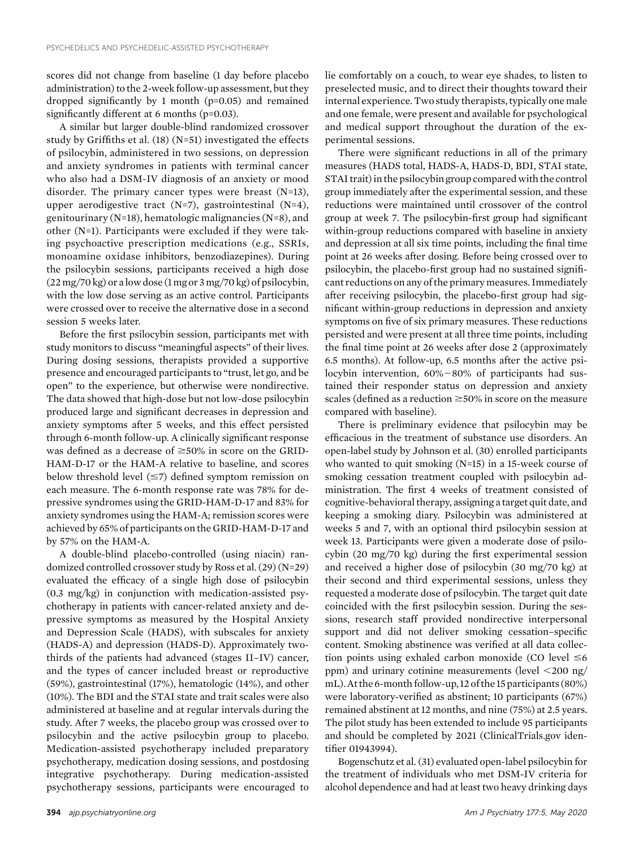scores did not change from baseline (1 day before placebo administration) to the 2-week follow-up assessment, but they dropped significantly by 1 month (p=0.05) and remained significantly different at 6 months (p=0.03).

A similar but larger double-blind randomized crossover study by Griffiths et al. (18) (N=51) investigated the effects of psilocybin, administered in two sessions, on depression and anxiety syndromes in patients with terminal cancer who also had a DSM-IV diagnosis of an anxiety or mood disorder. The primary cancer types were breast (N=13), upper aerodigestive tract  $(N=7)$ , gastrointestinal  $(N=4)$ , genitourinary (N=18), hematologic malignancies (N=8), and other (N=1). Participants were excluded if they were taking psychoactive prescription medications (e.g., SSRIs, monoamine oxidase inhibitors, benzodiazepines). During the psilocybin sessions, participants received a high dose (22 mg/70 kg) or a low dose (1 mg or 3 mg/70 kg) of psilocybin, with the low dose serving as an active control. Participants were crossed over to receive the alternative dose in a second session 5 weeks later.

Before the first psilocybin session, participants met with study monitors to discuss "meaningful aspects" of their lives. During dosing sessions, therapists provided a supportive presence and encouraged participants to "trust, let go, and be open" to the experience, but otherwise were nondirective. The data showed that high-dose but not low-dose psilocybin produced large and significant decreases in depression and anxiety symptoms after 5 weeks, and this effect persisted through 6-month follow-up. A clinically significant response was defined as a decrease of  $\geq$ 50% in score on the GRID-HAM-D-17 or the HAM-A relative to baseline, and scores below threshold level  $(\leq 7)$  defined symptom remission on each measure. The 6-month response rate was 78% for depressive syndromes using the GRID-HAM-D-17 and 83% for anxiety syndromes using the HAM-A; remission scores were achieved by 65% of participants on the GRID-HAM-D-17 and by 57% on the HAM-A.

A double-blind placebo-controlled (using niacin) randomized controlled crossover study by Ross et al. (29) (N=29) evaluated the efficacy of a single high dose of psilocybin (0.3 mg/kg) in conjunction with medication-assisted psychotherapy in patients with cancer-related anxiety and depressive symptoms as measured by the Hospital Anxiety and Depression Scale (HADS), with subscales for anxiety (HADS-A) and depression (HADS-D). Approximately twothirds of the patients had advanced (stages II–IV) cancer, and the types of cancer included breast or reproductive (59%), gastrointestinal (17%), hematologic (14%), and other (10%). The BDI and the STAI state and trait scales were also administered at baseline and at regular intervals during the study. After 7 weeks, the placebo group was crossed over to psilocybin and the active psilocybin group to placebo. Medication-assisted psychotherapy included preparatory psychotherapy, medication dosing sessions, and postdosing integrative psychotherapy. During medication-assisted psychotherapy sessions, participants were encouraged to

lie comfortably on a couch, to wear eye shades, to listen to preselected music, and to direct their thoughts toward their internal experience. Two study therapists, typically one male and one female, were present and available for psychological and medical support throughout the duration of the experimental sessions.

There were significant reductions in all of the primary measures (HADS total, HADS-A, HADS-D, BDI, STAI state, STAI trait) in the psilocybin group compared with the control group immediately after the experimental session, and these reductions were maintained until crossover of the control group at week 7. The psilocybin-first group had significant within-group reductions compared with baseline in anxiety and depression at all six time points, including the final time point at 26 weeks after dosing. Before being crossed over to psilocybin, the placebo-first group had no sustained significant reductions on any of the primary measures. Immediately after receiving psilocybin, the placebo-first group had significant within-group reductions in depression and anxiety symptoms on five of six primary measures. These reductions persisted and were present at all three time points, including the final time point at 26 weeks after dose 2 (approximately 6.5 months). At follow-up, 6.5 months after the active psilocybin intervention,  $60\% - 80\%$  of participants had sustained their responder status on depression and anxiety scales (defined as a reduction  $\geq$ 50% in score on the measure compared with baseline).

There is preliminary evidence that psilocybin may be efficacious in the treatment of substance use disorders. An open-label study by Johnson et al. (30) enrolled participants who wanted to quit smoking (N=15) in a 15-week course of smoking cessation treatment coupled with psilocybin administration. The first 4 weeks of treatment consisted of cognitive-behavioral therapy, assigning a target quit date, and keeping a smoking diary. Psilocybin was administered at weeks 5 and 7, with an optional third psilocybin session at week 13. Participants were given a moderate dose of psilocybin (20 mg/70 kg) during the first experimental session and received a higher dose of psilocybin (30 mg/70 kg) at their second and third experimental sessions, unless they requested a moderate dose of psilocybin. The target quit date coincided with the first psilocybin session. During the sessions, research staff provided nondirective interpersonal support and did not deliver smoking cessation–specific content. Smoking abstinence was verified at all data collection points using exhaled carbon monoxide (CO level  $\leq 6$ ppm) and urinary cotinine measurements (level  $\langle 200 \text{ ng} \rangle$ mL). At the 6-month follow-up, 12 of the 15 participants (80%) were laboratory-verified as abstinent; 10 participants (67%) remained abstinent at 12 months, and nine (75%) at 2.5 years. The pilot study has been extended to include 95 participants and should be completed by 2021 (ClinicalTrials.gov identifier 01943994).

Bogenschutz et al. (31) evaluated open-label psilocybin for the treatment of individuals who met DSM-IV criteria for alcohol dependence and had at least two heavy drinking days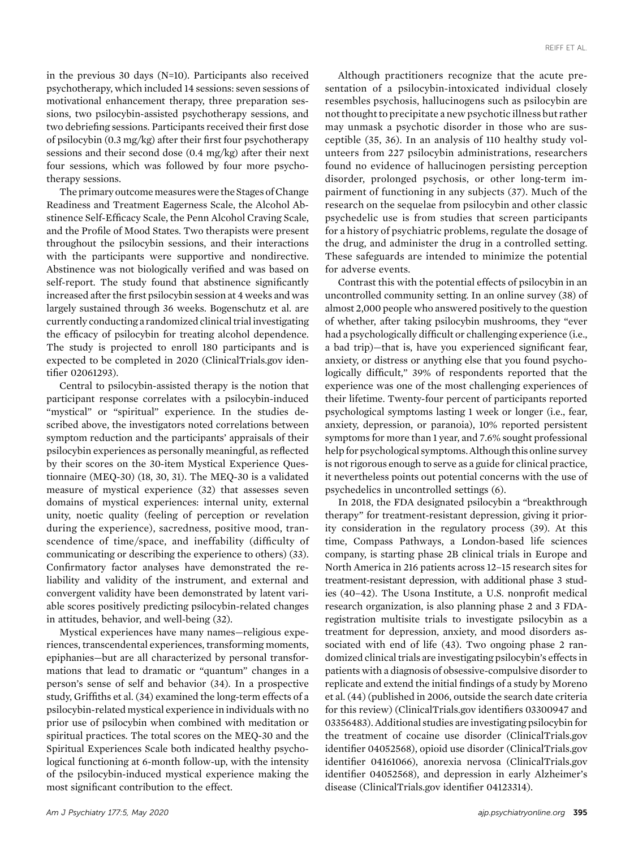in the previous 30 days (N=10). Participants also received psychotherapy, which included 14 sessions: seven sessions of motivational enhancement therapy, three preparation sessions, two psilocybin-assisted psychotherapy sessions, and two debriefing sessions. Participants received their first dose of psilocybin (0.3 mg/kg) after their first four psychotherapy sessions and their second dose (0.4 mg/kg) after their next four sessions, which was followed by four more psychotherapy sessions.

The primary outcome measures were the Stages of Change Readiness and Treatment Eagerness Scale, the Alcohol Abstinence Self-Efficacy Scale, the Penn Alcohol Craving Scale, and the Profile of Mood States. Two therapists were present throughout the psilocybin sessions, and their interactions with the participants were supportive and nondirective. Abstinence was not biologically verified and was based on self-report. The study found that abstinence significantly increased after the first psilocybin session at 4 weeks and was largely sustained through 36 weeks. Bogenschutz et al. are currently conducting a randomized clinical trial investigating the efficacy of psilocybin for treating alcohol dependence. The study is projected to enroll 180 participants and is expected to be completed in 2020 (ClinicalTrials.gov identifier 02061293).

Central to psilocybin-assisted therapy is the notion that participant response correlates with a psilocybin-induced "mystical" or "spiritual" experience. In the studies described above, the investigators noted correlations between symptom reduction and the participants' appraisals of their psilocybin experiences as personally meaningful, as reflected by their scores on the 30-item Mystical Experience Questionnaire (MEQ-30) (18, 30, 31). The MEQ-30 is a validated measure of mystical experience (32) that assesses seven domains of mystical experiences: internal unity, external unity, noetic quality (feeling of perception or revelation during the experience), sacredness, positive mood, transcendence of time/space, and ineffability (difficulty of communicating or describing the experience to others) (33). Confirmatory factor analyses have demonstrated the reliability and validity of the instrument, and external and convergent validity have been demonstrated by latent variable scores positively predicting psilocybin-related changes in attitudes, behavior, and well-being (32).

Mystical experiences have many names—religious experiences, transcendental experiences, transforming moments, epiphanies—but are all characterized by personal transformations that lead to dramatic or "quantum" changes in a person's sense of self and behavior (34). In a prospective study, Griffiths et al. (34) examined the long-term effects of a psilocybin-related mystical experience in individuals with no prior use of psilocybin when combined with meditation or spiritual practices. The total scores on the MEQ-30 and the Spiritual Experiences Scale both indicated healthy psychological functioning at 6-month follow-up, with the intensity of the psilocybin-induced mystical experience making the most significant contribution to the effect.

Although practitioners recognize that the acute presentation of a psilocybin-intoxicated individual closely resembles psychosis, hallucinogens such as psilocybin are not thought to precipitate a new psychotic illness but rather may unmask a psychotic disorder in those who are susceptible (35, 36). In an analysis of 110 healthy study volunteers from 227 psilocybin administrations, researchers found no evidence of hallucinogen persisting perception disorder, prolonged psychosis, or other long-term impairment of functioning in any subjects (37). Much of the research on the sequelae from psilocybin and other classic psychedelic use is from studies that screen participants for a history of psychiatric problems, regulate the dosage of the drug, and administer the drug in a controlled setting. These safeguards are intended to minimize the potential for adverse events.

Contrast this with the potential effects of psilocybin in an uncontrolled community setting. In an online survey (38) of almost 2,000 people who answered positively to the question of whether, after taking psilocybin mushrooms, they "ever had a psychologically difficult or challenging experience (i.e., a bad trip)—that is, have you experienced significant fear, anxiety, or distress or anything else that you found psychologically difficult," 39% of respondents reported that the experience was one of the most challenging experiences of their lifetime. Twenty-four percent of participants reported psychological symptoms lasting 1 week or longer (i.e., fear, anxiety, depression, or paranoia), 10% reported persistent symptoms for more than 1 year, and 7.6% sought professional help for psychological symptoms. Although this online survey is not rigorous enough to serve as a guide for clinical practice, it nevertheless points out potential concerns with the use of psychedelics in uncontrolled settings (6).

In 2018, the FDA designated psilocybin a "breakthrough therapy" for treatment-resistant depression, giving it priority consideration in the regulatory process (39). At this time, Compass Pathways, a London-based life sciences company, is starting phase 2B clinical trials in Europe and North America in 216 patients across 12–15 research sites for treatment-resistant depression, with additional phase 3 studies (40–42). The Usona Institute, a U.S. nonprofit medical research organization, is also planning phase 2 and 3 FDAregistration multisite trials to investigate psilocybin as a treatment for depression, anxiety, and mood disorders associated with end of life (43). Two ongoing phase 2 randomized clinical trials are investigating psilocybin's effects in patients with a diagnosis of obsessive-compulsive disorder to replicate and extend the initial findings of a study by Moreno et al. (44) (published in 2006, outside the search date criteria for this review) (ClinicalTrials.gov identifiers 03300947 and 03356483). Additional studies are investigating psilocybin for the treatment of cocaine use disorder (ClinicalTrials.gov identifier 04052568), opioid use disorder (ClinicalTrials.gov identifier 04161066), anorexia nervosa (ClinicalTrials.gov identifier 04052568), and depression in early Alzheimer's disease (ClinicalTrials.gov identifier 04123314).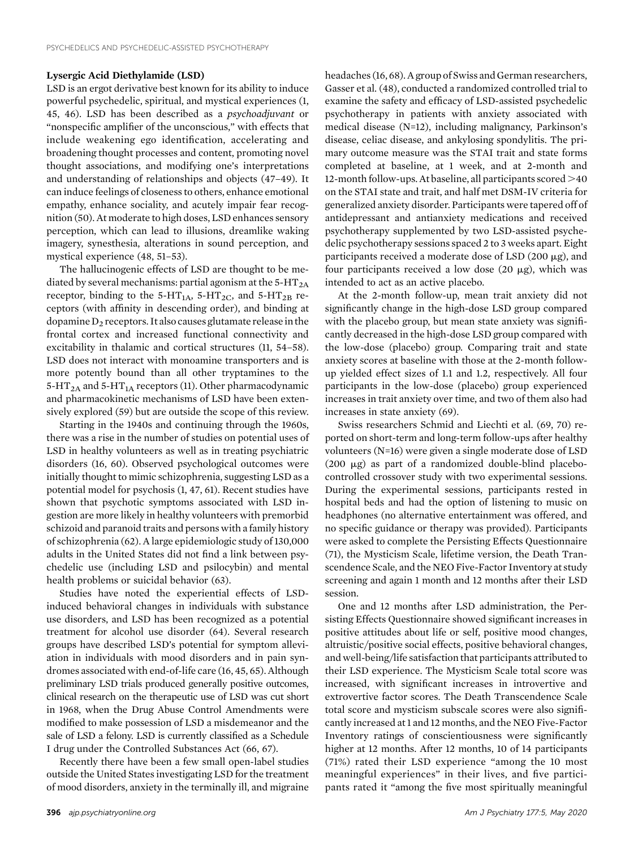## Lysergic Acid Diethylamide (LSD)

LSD is an ergot derivative best known for its ability to induce powerful psychedelic, spiritual, and mystical experiences (1, 45, 46). LSD has been described as a psychoadjuvant or "nonspecific amplifier of the unconscious," with effects that include weakening ego identification, accelerating and broadening thought processes and content, promoting novel thought associations, and modifying one's interpretations and understanding of relationships and objects (47–49). It can induce feelings of closeness to others, enhance emotional empathy, enhance sociality, and acutely impair fear recognition (50). At moderate to high doses, LSD enhances sensory perception, which can lead to illusions, dreamlike waking imagery, synesthesia, alterations in sound perception, and mystical experience (48, 51–53).

The hallucinogenic effects of LSD are thought to be mediated by several mechanisms: partial agonism at the  $5-HT_{2A}$ receptor, binding to the 5-HT<sub>1A</sub>, 5-HT<sub>2C</sub>, and 5-HT<sub>2B</sub> receptors (with affinity in descending order), and binding at dopamine  $D_2$  receptors. It also causes glutamate release in the frontal cortex and increased functional connectivity and excitability in thalamic and cortical structures (11, 54–58). LSD does not interact with monoamine transporters and is more potently bound than all other tryptamines to the 5-HT<sub>2A</sub> and 5-HT<sub>1A</sub> receptors (11). Other pharmacodynamic and pharmacokinetic mechanisms of LSD have been extensively explored (59) but are outside the scope of this review.

Starting in the 1940s and continuing through the 1960s, there was a rise in the number of studies on potential uses of LSD in healthy volunteers as well as in treating psychiatric disorders (16, 60). Observed psychological outcomes were initially thought to mimic schizophrenia, suggesting LSD as a potential model for psychosis (1, 47, 61). Recent studies have shown that psychotic symptoms associated with LSD ingestion are more likely in healthy volunteers with premorbid schizoid and paranoid traits and persons with a family history of schizophrenia (62). A large epidemiologic study of 130,000 adults in the United States did not find a link between psychedelic use (including LSD and psilocybin) and mental health problems or suicidal behavior (63).

Studies have noted the experiential effects of LSDinduced behavioral changes in individuals with substance use disorders, and LSD has been recognized as a potential treatment for alcohol use disorder (64). Several research groups have described LSD's potential for symptom alleviation in individuals with mood disorders and in pain syndromes associated with end-of-life care (16, 45, 65). Although preliminary LSD trials produced generally positive outcomes, clinical research on the therapeutic use of LSD was cut short in 1968, when the Drug Abuse Control Amendments were modified to make possession of LSD a misdemeanor and the sale of LSD a felony. LSD is currently classified as a Schedule I drug under the Controlled Substances Act (66, 67).

Recently there have been a few small open-label studies outside the United States investigating LSD for the treatment of mood disorders, anxiety in the terminally ill, and migraine headaches (16, 68). A group of Swiss and German researchers, Gasser et al. (48), conducted a randomized controlled trial to examine the safety and efficacy of LSD-assisted psychedelic psychotherapy in patients with anxiety associated with medical disease (N=12), including malignancy, Parkinson's disease, celiac disease, and ankylosing spondylitis. The primary outcome measure was the STAI trait and state forms completed at baseline, at 1 week, and at 2-month and 12-month follow-ups. At baseline, all participants scored  $>40$ on the STAI state and trait, and half met DSM-IV criteria for generalized anxiety disorder. Participants were tapered off of antidepressant and antianxiety medications and received psychotherapy supplemented by two LSD-assisted psychedelic psychotherapy sessions spaced 2 to 3 weeks apart. Eight participants received a moderate dose of LSD  $(200 \mu g)$ , and four participants received a low dose  $(20 \mu g)$ , which was intended to act as an active placebo.

At the 2-month follow-up, mean trait anxiety did not significantly change in the high-dose LSD group compared with the placebo group, but mean state anxiety was significantly decreased in the high-dose LSD group compared with the low-dose (placebo) group. Comparing trait and state anxiety scores at baseline with those at the 2-month followup yielded effect sizes of 1.1 and 1.2, respectively. All four participants in the low-dose (placebo) group experienced increases in trait anxiety over time, and two of them also had increases in state anxiety (69).

Swiss researchers Schmid and Liechti et al. (69, 70) reported on short-term and long-term follow-ups after healthy volunteers (N=16) were given a single moderate dose of LSD  $(200 \mu g)$  as part of a randomized double-blind placebocontrolled crossover study with two experimental sessions. During the experimental sessions, participants rested in hospital beds and had the option of listening to music on headphones (no alternative entertainment was offered, and no specific guidance or therapy was provided). Participants were asked to complete the Persisting Effects Questionnaire (71), the Mysticism Scale, lifetime version, the Death Transcendence Scale, and the NEO Five-Factor Inventory at study screening and again 1 month and 12 months after their LSD session.

One and 12 months after LSD administration, the Persisting Effects Questionnaire showed significant increases in positive attitudes about life or self, positive mood changes, altruistic/positive social effects, positive behavioral changes, and well-being/life satisfaction that participants attributed to their LSD experience. The Mysticism Scale total score was increased, with significant increases in introvertive and extrovertive factor scores. The Death Transcendence Scale total score and mysticism subscale scores were also significantly increased at 1 and 12 months, and the NEO Five-Factor Inventory ratings of conscientiousness were significantly higher at 12 months. After 12 months, 10 of 14 participants (71%) rated their LSD experience "among the 10 most meaningful experiences" in their lives, and five participants rated it "among the five most spiritually meaningful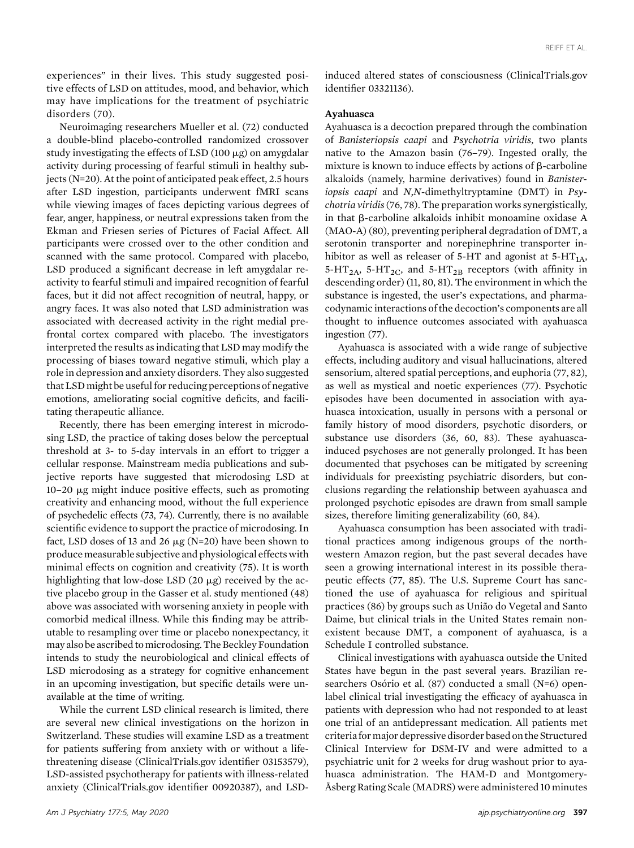experiences" in their lives. This study suggested positive effects of LSD on attitudes, mood, and behavior, which may have implications for the treatment of psychiatric disorders (70).

Neuroimaging researchers Mueller et al. (72) conducted a double-blind placebo-controlled randomized crossover study investigating the effects of LSD  $(100 \mu g)$  on amygdalar activity during processing of fearful stimuli in healthy subjects (N=20). At the point of anticipated peak effect, 2.5 hours after LSD ingestion, participants underwent fMRI scans while viewing images of faces depicting various degrees of fear, anger, happiness, or neutral expressions taken from the Ekman and Friesen series of Pictures of Facial Affect. All participants were crossed over to the other condition and scanned with the same protocol. Compared with placebo, LSD produced a significant decrease in left amygdalar reactivity to fearful stimuli and impaired recognition of fearful faces, but it did not affect recognition of neutral, happy, or angry faces. It was also noted that LSD administration was associated with decreased activity in the right medial prefrontal cortex compared with placebo. The investigators interpreted the results as indicating that LSD may modify the processing of biases toward negative stimuli, which play a role in depression and anxiety disorders. They also suggested that LSD might be useful for reducing perceptions of negative emotions, ameliorating social cognitive deficits, and facilitating therapeutic alliance.

Recently, there has been emerging interest in microdosing LSD, the practice of taking doses below the perceptual threshold at 3- to 5-day intervals in an effort to trigger a cellular response. Mainstream media publications and subjective reports have suggested that microdosing LSD at 10–20 mg might induce positive effects, such as promoting creativity and enhancing mood, without the full experience of psychedelic effects (73, 74). Currently, there is no available scientific evidence to support the practice of microdosing. In fact, LSD doses of 13 and 26  $\mu$ g (N=20) have been shown to produce measurable subjective and physiological effects with minimal effects on cognition and creativity (75). It is worth highlighting that low-dose LSD  $(20 \mu g)$  received by the active placebo group in the Gasser et al. study mentioned (48) above was associated with worsening anxiety in people with comorbid medical illness. While this finding may be attributable to resampling over time or placebo nonexpectancy, it may also be ascribed to microdosing. The Beckley Foundation intends to study the neurobiological and clinical effects of LSD microdosing as a strategy for cognitive enhancement in an upcoming investigation, but specific details were unavailable at the time of writing.

While the current LSD clinical research is limited, there are several new clinical investigations on the horizon in Switzerland. These studies will examine LSD as a treatment for patients suffering from anxiety with or without a lifethreatening disease (ClinicalTrials.gov identifier 03153579), LSD-assisted psychotherapy for patients with illness-related anxiety (ClinicalTrials.gov identifier 00920387), and LSD-

#### Ayahuasca

Ayahuasca is a decoction prepared through the combination of Banisteriopsis caapi and Psychotria viridis, two plants native to the Amazon basin (76–79). Ingested orally, the mixture is known to induce effects by actions of  $\beta$ -carboline alkaloids (namely, harmine derivatives) found in Banisteriopsis caapi and N,N-dimethyltryptamine (DMT) in Psychotria viridis(76, 78). The preparation works synergistically, in that  $\beta$ -carboline alkaloids inhibit monoamine oxidase A (MAO-A) (80), preventing peripheral degradation of DMT, a serotonin transporter and norepinephrine transporter inhibitor as well as releaser of 5-HT and agonist at  $5-HT<sub>1A</sub>$ , 5-HT<sub>2A</sub>, 5-HT<sub>2C</sub>, and 5-HT<sub>2B</sub> receptors (with affinity in descending order) (11, 80, 81). The environment in which the substance is ingested, the user's expectations, and pharmacodynamic interactions of the decoction's components are all thought to influence outcomes associated with ayahuasca ingestion (77).

Ayahuasca is associated with a wide range of subjective effects, including auditory and visual hallucinations, altered sensorium, altered spatial perceptions, and euphoria (77, 82), as well as mystical and noetic experiences (77). Psychotic episodes have been documented in association with ayahuasca intoxication, usually in persons with a personal or family history of mood disorders, psychotic disorders, or substance use disorders (36, 60, 83). These ayahuascainduced psychoses are not generally prolonged. It has been documented that psychoses can be mitigated by screening individuals for preexisting psychiatric disorders, but conclusions regarding the relationship between ayahuasca and prolonged psychotic episodes are drawn from small sample sizes, therefore limiting generalizability (60, 84).

Ayahuasca consumption has been associated with traditional practices among indigenous groups of the northwestern Amazon region, but the past several decades have seen a growing international interest in its possible therapeutic effects (77, 85). The U.S. Supreme Court has sanctioned the use of ayahuasca for religious and spiritual practices (86) by groups such as União do Vegetal and Santo Daime, but clinical trials in the United States remain nonexistent because DMT, a component of ayahuasca, is a Schedule I controlled substance.

Clinical investigations with ayahuasca outside the United States have begun in the past several years. Brazilian researchers Osório et al. (87) conducted a small (N=6) openlabel clinical trial investigating the efficacy of ayahuasca in patients with depression who had not responded to at least one trial of an antidepressant medication. All patients met criteria formajor depressive disorder based on the Structured Clinical Interview for DSM-IV and were admitted to a psychiatric unit for 2 weeks for drug washout prior to ayahuasca administration. The HAM-D and Montgomery-Åsberg Rating Scale (MADRS) were administered 10 minutes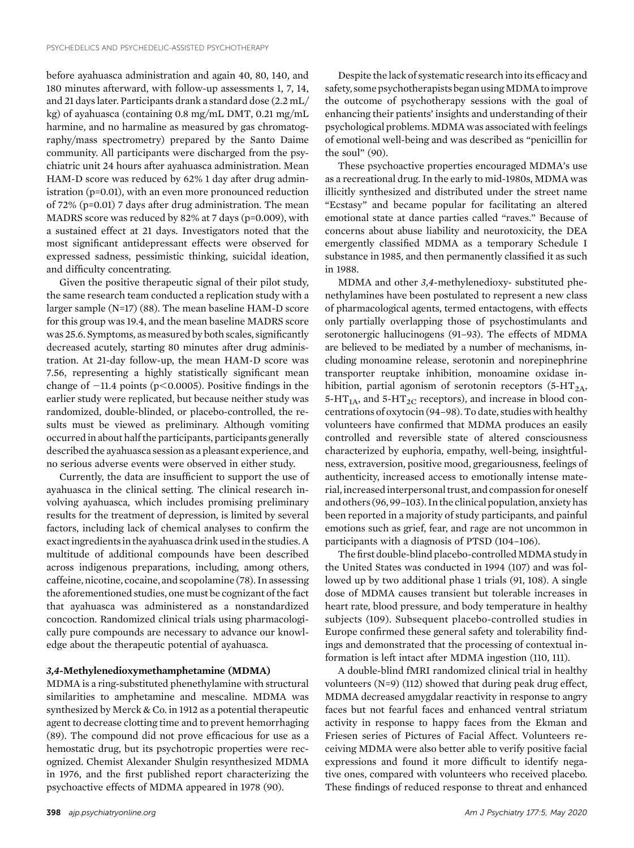before ayahuasca administration and again 40, 80, 140, and 180 minutes afterward, with follow-up assessments 1, 7, 14, and 21 days later. Participants drank a standard dose (2.2 mL/ kg) of ayahuasca (containing 0.8 mg/mL DMT, 0.21 mg/mL harmine, and no harmaline as measured by gas chromatography/mass spectrometry) prepared by the Santo Daime community. All participants were discharged from the psychiatric unit 24 hours after ayahuasca administration. Mean HAM-D score was reduced by 62% 1 day after drug administration (p=0.01), with an even more pronounced reduction of 72% (p=0.01) 7 days after drug administration. The mean MADRS score was reduced by 82% at 7 days (p=0.009), with a sustained effect at 21 days. Investigators noted that the most significant antidepressant effects were observed for expressed sadness, pessimistic thinking, suicidal ideation, and difficulty concentrating.

Given the positive therapeutic signal of their pilot study, the same research team conducted a replication study with a larger sample (N=17) (88). The mean baseline HAM-D score for this group was 19.4, and the mean baseline MADRS score was 25.6. Symptoms, as measured by both scales, significantly decreased acutely, starting 80 minutes after drug administration. At 21-day follow-up, the mean HAM-D score was 7.56, representing a highly statistically significant mean change of  $-11.4$  points (p $\leq$ 0.0005). Positive findings in the earlier study were replicated, but because neither study was randomized, double-blinded, or placebo-controlled, the results must be viewed as preliminary. Although vomiting occurred in about half the participants, participants generally described the ayahuasca session as a pleasant experience, and no serious adverse events were observed in either study.

Currently, the data are insufficient to support the use of ayahuasca in the clinical setting. The clinical research involving ayahuasca, which includes promising preliminary results for the treatment of depression, is limited by several factors, including lack of chemical analyses to confirm the exact ingredients in the ayahuasca drink used in the studies. A multitude of additional compounds have been described across indigenous preparations, including, among others, caffeine, nicotine, cocaine, and scopolamine (78). In assessing the aforementioned studies, one must be cognizant of the fact that ayahuasca was administered as a nonstandardized concoction. Randomized clinical trials using pharmacologically pure compounds are necessary to advance our knowledge about the therapeutic potential of ayahuasca.

#### 3,4-Methylenedioxymethamphetamine (MDMA)

MDMA is a ring-substituted phenethylamine with structural similarities to amphetamine and mescaline. MDMA was synthesized by Merck & Co. in 1912 as a potential therapeutic agent to decrease clotting time and to prevent hemorrhaging (89). The compound did not prove efficacious for use as a hemostatic drug, but its psychotropic properties were recognized. Chemist Alexander Shulgin resynthesized MDMA in 1976, and the first published report characterizing the psychoactive effects of MDMA appeared in 1978 (90).

Despite the lack of systematic research into its efficacy and safety, some psychotherapists began using MDMA to improve the outcome of psychotherapy sessions with the goal of enhancing their patients' insights and understanding of their psychological problems.MDMA was associated with feelings of emotional well-being and was described as "penicillin for the soul" (90).

These psychoactive properties encouraged MDMA's use as a recreational drug. In the early to mid-1980s, MDMA was illicitly synthesized and distributed under the street name "Ecstasy" and became popular for facilitating an altered emotional state at dance parties called "raves." Because of concerns about abuse liability and neurotoxicity, the DEA emergently classified MDMA as a temporary Schedule I substance in 1985, and then permanently classified it as such in 1988.

MDMA and other 3,4-methylenedioxy- substituted phenethylamines have been postulated to represent a new class of pharmacological agents, termed entactogens, with effects only partially overlapping those of psychostimulants and serotonergic hallucinogens (91–93). The effects of MDMA are believed to be mediated by a number of mechanisms, including monoamine release, serotonin and norepinephrine transporter reuptake inhibition, monoamine oxidase inhibition, partial agonism of serotonin receptors  $(5-HT<sub>2A</sub>)$ ,  $5-HT<sub>1A</sub>$ , and  $5-HT<sub>2C</sub>$  receptors), and increase in blood concentrations of oxytocin (94–98). To date, studies with healthy volunteers have confirmed that MDMA produces an easily controlled and reversible state of altered consciousness characterized by euphoria, empathy, well-being, insightfulness, extraversion, positive mood, gregariousness, feelings of authenticity, increased access to emotionally intense material, increased interpersonal trust, and compassion for oneself and others (96, 99–103). In the clinical population, anxiety has been reported in a majority of study participants, and painful emotions such as grief, fear, and rage are not uncommon in participants with a diagnosis of PTSD (104–106).

The first double-blind placebo-controlled MDMA study in the United States was conducted in 1994 (107) and was followed up by two additional phase 1 trials (91, 108). A single dose of MDMA causes transient but tolerable increases in heart rate, blood pressure, and body temperature in healthy subjects (109). Subsequent placebo-controlled studies in Europe confirmed these general safety and tolerability findings and demonstrated that the processing of contextual information is left intact after MDMA ingestion (110, 111).

A double-blind fMRI randomized clinical trial in healthy volunteers (N=9) (112) showed that during peak drug effect, MDMA decreased amygdalar reactivity in response to angry faces but not fearful faces and enhanced ventral striatum activity in response to happy faces from the Ekman and Friesen series of Pictures of Facial Affect. Volunteers receiving MDMA were also better able to verify positive facial expressions and found it more difficult to identify negative ones, compared with volunteers who received placebo. These findings of reduced response to threat and enhanced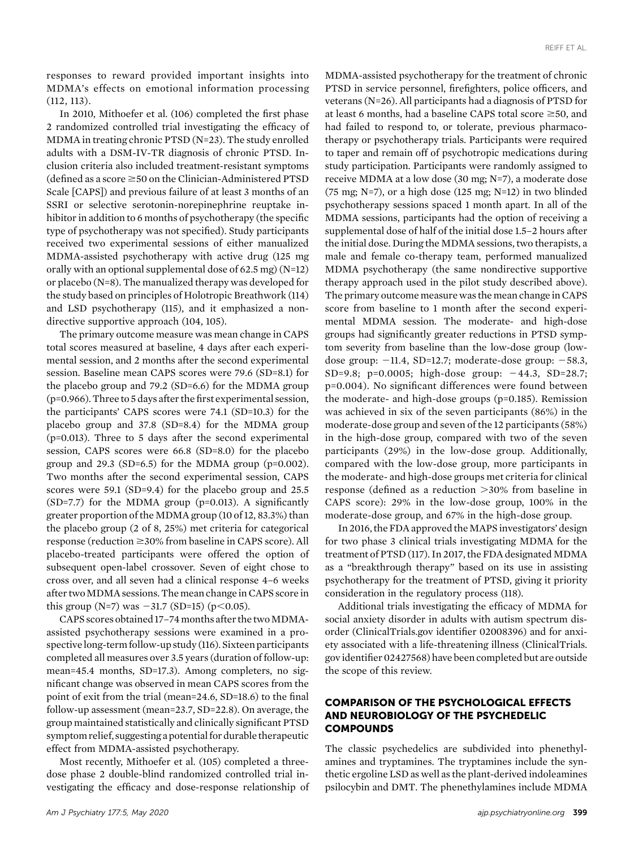responses to reward provided important insights into MDMA's effects on emotional information processing (112, 113).

In 2010, Mithoefer et al. (106) completed the first phase 2 randomized controlled trial investigating the efficacy of MDMA in treating chronic PTSD (N=23). The study enrolled adults with a DSM-IV-TR diagnosis of chronic PTSD. Inclusion criteria also included treatment-resistant symptoms (defined as a score  $\geq$  50 on the Clinician-Administered PTSD Scale [CAPS]) and previous failure of at least 3 months of an SSRI or selective serotonin-norepinephrine reuptake inhibitor in addition to 6 months of psychotherapy (the specific type of psychotherapy was not specified). Study participants received two experimental sessions of either manualized MDMA-assisted psychotherapy with active drug (125 mg orally with an optional supplemental dose of 62.5 mg) (N=12) or placebo (N=8). The manualized therapy was developed for the study based on principles of Holotropic Breathwork (114) and LSD psychotherapy (115), and it emphasized a nondirective supportive approach (104, 105).

The primary outcome measure was mean change in CAPS total scores measured at baseline, 4 days after each experimental session, and 2 months after the second experimental session. Baseline mean CAPS scores were 79.6 (SD=8.1) for the placebo group and 79.2 (SD=6.6) for the MDMA group  $(p=0.966)$ . Three to 5 days after the first experimental session, the participants' CAPS scores were 74.1 (SD=10.3) for the placebo group and 37.8 (SD=8.4) for the MDMA group (p=0.013). Three to 5 days after the second experimental session, CAPS scores were 66.8 (SD=8.0) for the placebo group and 29.3 (SD=6.5) for the MDMA group ( $p=0.002$ ). Two months after the second experimental session, CAPS scores were 59.1 (SD=9.4) for the placebo group and 25.5  $(SD=7.7)$  for the MDMA group (p=0.013). A significantly greater proportion of the MDMA group (10 of 12, 83.3%) than the placebo group (2 of 8, 25%) met criteria for categorical response (reduction  $\geq$ 30% from baseline in CAPS score). All placebo-treated participants were offered the option of subsequent open-label crossover. Seven of eight chose to cross over, and all seven had a clinical response 4–6 weeks after twoMDMA sessions. The mean change in CAPS score in this group (N=7) was  $-31.7$  (SD=15) (p $<0.05$ ).

CAPS scores obtained 17-74 months after the two MDMAassisted psychotherapy sessions were examined in a prospectivelong-term follow-up study (116). Sixteen participants completed all measures over 3.5 years (duration of follow-up: mean=45.4 months, SD=17.3). Among completers, no significant change was observed in mean CAPS scores from the point of exit from the trial (mean=24.6, SD=18.6) to the final follow-up assessment (mean=23.7, SD=22.8). On average, the group maintained statistically and clinically significant PTSD symptom relief, suggesting a potential for durable therapeutic effect from MDMA-assisted psychotherapy.

Most recently, Mithoefer et al. (105) completed a threedose phase 2 double-blind randomized controlled trial investigating the efficacy and dose-response relationship of MDMA-assisted psychotherapy for the treatment of chronic PTSD in service personnel, firefighters, police officers, and veterans (N=26). All participants had a diagnosis of PTSD for at least 6 months, had a baseline CAPS total score  $\geq$ 50, and had failed to respond to, or tolerate, previous pharmacotherapy or psychotherapy trials. Participants were required to taper and remain off of psychotropic medications during study participation. Participants were randomly assigned to receive MDMA at a low dose (30 mg; N=7), a moderate dose (75 mg; N=7), or a high dose (125 mg; N=12) in two blinded psychotherapy sessions spaced 1 month apart. In all of the MDMA sessions, participants had the option of receiving a supplemental dose of half of the initial dose 1.5–2 hours after the initial dose. During the MDMA sessions, two therapists, a male and female co-therapy team, performed manualized MDMA psychotherapy (the same nondirective supportive therapy approach used in the pilot study described above). The primary outcome measure was the mean change in CAPS score from baseline to 1 month after the second experimental MDMA session. The moderate- and high-dose groups had significantly greater reductions in PTSD symptom severity from baseline than the low-dose group (lowdose group:  $-11.4$ , SD=12.7; moderate-dose group:  $-58.3$ , SD=9.8; p=0.0005; high-dose group:  $-44.3$ , SD=28.7; p=0.004). No significant differences were found between the moderate- and high-dose groups (p=0.185). Remission was achieved in six of the seven participants (86%) in the moderate-dose group and seven of the 12 participants (58%) in the high-dose group, compared with two of the seven participants (29%) in the low-dose group. Additionally, compared with the low-dose group, more participants in the moderate- and high-dose groups met criteria for clinical response (defined as a reduction  $>30\%$  from baseline in CAPS score): 29% in the low-dose group, 100% in the moderate-dose group, and 67% in the high-dose group.

In 2016, the FDA approved the MAPS investigators' design for two phase 3 clinical trials investigating MDMA for the treatment of PTSD (117). In 2017, the FDA designated MDMA as a "breakthrough therapy" based on its use in assisting psychotherapy for the treatment of PTSD, giving it priority consideration in the regulatory process (118).

Additional trials investigating the efficacy of MDMA for social anxiety disorder in adults with autism spectrum disorder (ClinicalTrials.gov identifier 02008396) and for anxiety associated with a life-threatening illness (ClinicalTrials. gov identifier 02427568) have been completed but are outside the scope of this review.

# COMPARISON OF THE PSYCHOLOGICAL EFFECTS AND NEUROBIOLOGY OF THE PSYCHEDELIC **COMPOUNDS**

The classic psychedelics are subdivided into phenethylamines and tryptamines. The tryptamines include the synthetic ergoline LSD as well as the plant-derived indoleamines psilocybin and DMT. The phenethylamines include MDMA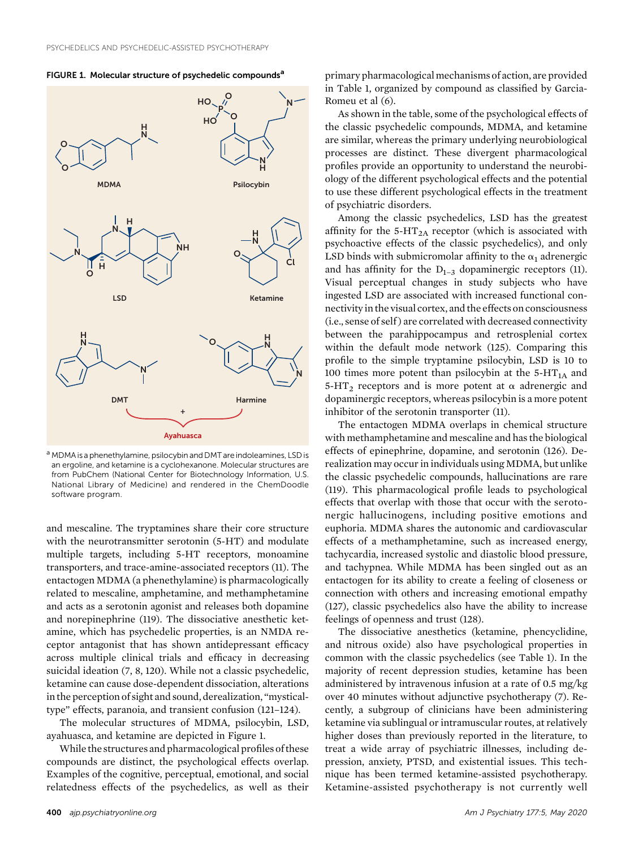



<sup>a</sup> MDMA is a phenethylamine, psilocybin and DMT are indoleamines, LSD is an ergoline, and ketamine is a cyclohexanone. Molecular structures are from PubChem (National Center for Biotechnology Information, U.S. National Library of Medicine) and rendered in the ChemDoodle software program.

and mescaline. The tryptamines share their core structure with the neurotransmitter serotonin (5-HT) and modulate multiple targets, including 5-HT receptors, monoamine transporters, and trace-amine-associated receptors (11). The entactogen MDMA (a phenethylamine) is pharmacologically related to mescaline, amphetamine, and methamphetamine and acts as a serotonin agonist and releases both dopamine and norepinephrine (119). The dissociative anesthetic ketamine, which has psychedelic properties, is an NMDA receptor antagonist that has shown antidepressant efficacy across multiple clinical trials and efficacy in decreasing suicidal ideation (7, 8, 120). While not a classic psychedelic, ketamine can cause dose-dependent dissociation, alterations in the perception of sight and sound, derealization, "mysticaltype" effects, paranoia, and transient confusion (121–124).

The molecular structures of MDMA, psilocybin, LSD, ayahuasca, and ketamine are depicted in Figure 1.

While the structures and pharmacological profiles of these compounds are distinct, the psychological effects overlap. Examples of the cognitive, perceptual, emotional, and social relatedness effects of the psychedelics, as well as their primary pharmacological mechanisms of action, are provided in Table 1, organized by compound as classified by Garcia-Romeu et al (6).

As shown in the table, some of the psychological effects of the classic psychedelic compounds, MDMA, and ketamine are similar, whereas the primary underlying neurobiological processes are distinct. These divergent pharmacological profiles provide an opportunity to understand the neurobiology of the different psychological effects and the potential to use these different psychological effects in the treatment of psychiatric disorders.

Among the classic psychedelics, LSD has the greatest affinity for the  $5-HT_{2A}$  receptor (which is associated with psychoactive effects of the classic psychedelics), and only LSD binds with submicromolar affinity to the  $\alpha_1$  adrenergic and has affinity for the  $D_{1-3}$  dopaminergic receptors (11). Visual perceptual changes in study subjects who have ingested LSD are associated with increased functional connectivity in the visual cortex, and the effects on consciousness (i.e., sense of self ) are correlated with decreased connectivity between the parahippocampus and retrosplenial cortex within the default mode network (125). Comparing this profile to the simple tryptamine psilocybin, LSD is 10 to 100 times more potent than psilocybin at the  $5-HT<sub>1A</sub>$  and 5-HT<sub>2</sub> receptors and is more potent at  $\alpha$  adrenergic and dopaminergic receptors, whereas psilocybin is a more potent inhibitor of the serotonin transporter (11).

The entactogen MDMA overlaps in chemical structure with methamphetamine and mescaline and has the biological effects of epinephrine, dopamine, and serotonin (126). Derealization may occur in individuals using MDMA, but unlike the classic psychedelic compounds, hallucinations are rare (119). This pharmacological profile leads to psychological effects that overlap with those that occur with the serotonergic hallucinogens, including positive emotions and euphoria. MDMA shares the autonomic and cardiovascular effects of a methamphetamine, such as increased energy, tachycardia, increased systolic and diastolic blood pressure, and tachypnea. While MDMA has been singled out as an entactogen for its ability to create a feeling of closeness or connection with others and increasing emotional empathy (127), classic psychedelics also have the ability to increase feelings of openness and trust (128).

The dissociative anesthetics (ketamine, phencyclidine, and nitrous oxide) also have psychological properties in common with the classic psychedelics (see Table 1). In the majority of recent depression studies, ketamine has been administered by intravenous infusion at a rate of 0.5 mg/kg over 40 minutes without adjunctive psychotherapy (7). Recently, a subgroup of clinicians have been administering ketamine via sublingual or intramuscular routes, at relatively higher doses than previously reported in the literature, to treat a wide array of psychiatric illnesses, including depression, anxiety, PTSD, and existential issues. This technique has been termed ketamine-assisted psychotherapy. Ketamine-assisted psychotherapy is not currently well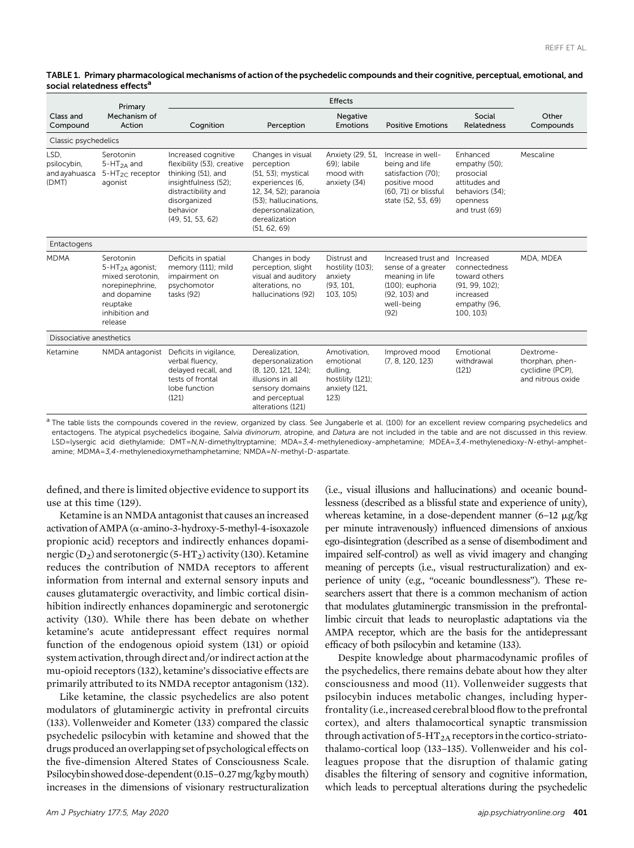#### TABLE 1. Primary pharmacological mechanisms of action of the psychedelic compounds and their cognitive, perceptual, emotional, and social relatedness effects<sup>a</sup>

|                                               | Primary                                                                                                                                  |                                                                                                                                                                        |                                                                                                                                                                                   |                                                                                    |                                                                                                                          |                                                                                                            |                                                                       |  |
|-----------------------------------------------|------------------------------------------------------------------------------------------------------------------------------------------|------------------------------------------------------------------------------------------------------------------------------------------------------------------------|-----------------------------------------------------------------------------------------------------------------------------------------------------------------------------------|------------------------------------------------------------------------------------|--------------------------------------------------------------------------------------------------------------------------|------------------------------------------------------------------------------------------------------------|-----------------------------------------------------------------------|--|
| Class and<br>Compound                         | Mechanism of<br>Action                                                                                                                   | Cognition                                                                                                                                                              | Perception                                                                                                                                                                        | Negative<br><b>Emotions</b>                                                        | <b>Positive Emotions</b>                                                                                                 | Social<br><b>Relatedness</b>                                                                               | Other<br>Compounds                                                    |  |
| Classic psychedelics                          |                                                                                                                                          |                                                                                                                                                                        |                                                                                                                                                                                   |                                                                                    |                                                                                                                          |                                                                                                            |                                                                       |  |
| LSD.<br>psilocybin,<br>and ayahuasca<br>(DMT) | Serotonin<br>$5-HT_{2A}$ and<br>5-HT <sub>2C</sub> receptor<br>agonist                                                                   | Increased cognitive<br>flexibility (53), creative<br>thinking (51), and<br>insightfulness (52);<br>distractibility and<br>disorganized<br>behavior<br>(49, 51, 53, 62) | Changes in visual<br>perception<br>(51, 53); mystical<br>experiences (6,<br>12, 34, 52); paranoia<br>(53); hallucinations,<br>depersonalization,<br>derealization<br>(51, 62, 69) | Anxiety (29, 51,<br>69); labile<br>mood with<br>anxiety (34)                       | Increase in well-<br>being and life<br>satisfaction (70):<br>positive mood<br>(60, 71) or blissful<br>state (52, 53, 69) | Enhanced<br>empathy (50);<br>prosocial<br>attitudes and<br>behaviors (34);<br>openness<br>and trust (69)   | Mescaline                                                             |  |
| Entactogens                                   |                                                                                                                                          |                                                                                                                                                                        |                                                                                                                                                                                   |                                                                                    |                                                                                                                          |                                                                                                            |                                                                       |  |
| <b>MDMA</b>                                   | Serotonin<br>5-HT <sub>2A</sub> agonist;<br>mixed serotonin.<br>norepinephrine,<br>and dopamine<br>reuptake<br>inhibition and<br>release | Deficits in spatial<br>memory (111); mild<br>impairment on<br>psychomotor<br>tasks (92)                                                                                | Changes in body<br>perception, slight<br>visual and auditory<br>alterations, no<br>hallucinations (92)                                                                            | Distrust and<br>hostility (103);<br>anxiety<br>(93, 101,<br>103, 105)              | Increased trust and<br>sense of a greater<br>meaning in life<br>(100); euphoria<br>(92, 103) and<br>well-being<br>(92)   | Increased<br>connectedness<br>toward others<br>$(91, 99, 102)$ ;<br>increased<br>empathy (96,<br>100, 103) | MDA, MDEA                                                             |  |
| Dissociative anesthetics                      |                                                                                                                                          |                                                                                                                                                                        |                                                                                                                                                                                   |                                                                                    |                                                                                                                          |                                                                                                            |                                                                       |  |
| Ketamine                                      | NMDA antagonist                                                                                                                          | Deficits in vigilance,<br>verbal fluency,<br>delayed recall, and<br>tests of frontal<br>lobe function<br>(121)                                                         | Derealization.<br>depersonalization<br>$(8.120.121.124)$ :<br>illusions in all<br>sensory domains<br>and perceptual<br>alterations (121)                                          | Amotivation.<br>emotional<br>dulling,<br>hostility (121);<br>anxiety (121,<br>123) | Improved mood<br>(7, 8, 120, 123)                                                                                        | Emotional<br>withdrawal<br>(121)                                                                           | Dextrome-<br>thorphan, phen-<br>cyclidine (PCP),<br>and nitrous oxide |  |

<sup>a</sup> The table lists the compounds covered in the review, organized by class. See Jungaberle et al. (100) for an excellent review comparing psychedelics and entactogens. The atypical psychedelics ibogaine, Salvia divinorum, atropine, and Datura are not included in the table and are not discussed in this review. LSD=lysergic acid diethylamide; DMT=N,N-dimethyltryptamine; MDA=3,4-methylenedioxy-amphetamine; MDEA=3,4-methylenedioxy-N-ethyl-amphetamine; MDMA=3,4-methylenedioxymethamphetamine; NMDA=N-methyl-D-aspartate.

defined, and there is limited objective evidence to support its use at this time (129).

Ketamine is an NMDA antagonist that causes an increased activation of AMPA ( $\alpha$ -amino-3-hydroxy-5-methyl-4-isoxazole propionic acid) receptors and indirectly enhances dopaminergic ( $D_2$ ) and serotonergic (5-HT<sub>2</sub>) activity (130). Ketamine reduces the contribution of NMDA receptors to afferent information from internal and external sensory inputs and causes glutamatergic overactivity, and limbic cortical disinhibition indirectly enhances dopaminergic and serotonergic activity (130). While there has been debate on whether ketamine's acute antidepressant effect requires normal function of the endogenous opioid system (131) or opioid system activation, through direct and/or indirect action at the mu-opioid receptors (132), ketamine's dissociative effects are primarily attributed to its NMDA receptor antagonism (132).

Like ketamine, the classic psychedelics are also potent modulators of glutaminergic activity in prefrontal circuits (133). Vollenweider and Kometer (133) compared the classic psychedelic psilocybin with ketamine and showed that the drugs produced an overlapping set of psychological effects on the five-dimension Altered States of Consciousness Scale. Psilocybin showed dose-dependent (0.15–0.27mg/kg bymouth) increases in the dimensions of visionary restructuralization

(i.e., visual illusions and hallucinations) and oceanic boundlessness (described as a blissful state and experience of unity), whereas ketamine, in a dose-dependent manner  $(6-12 \mu g/kg)$ per minute intravenously) influenced dimensions of anxious ego-disintegration (described as a sense of disembodiment and impaired self-control) as well as vivid imagery and changing meaning of percepts (i.e., visual restructuralization) and experience of unity (e.g., "oceanic boundlessness"). These researchers assert that there is a common mechanism of action that modulates glutaminergic transmission in the prefrontallimbic circuit that leads to neuroplastic adaptations via the AMPA receptor, which are the basis for the antidepressant efficacy of both psilocybin and ketamine (133).

Despite knowledge about pharmacodynamic profiles of the psychedelics, there remains debate about how they alter consciousness and mood (11). Vollenweider suggests that psilocybin induces metabolic changes, including hyperfrontality (i.e., increased cerebral blood flow to the prefrontal cortex), and alters thalamocortical synaptic transmission through activation of  $5-HT_{2A}$  receptors in the cortico-striatothalamo-cortical loop (133–135). Vollenweider and his colleagues propose that the disruption of thalamic gating disables the filtering of sensory and cognitive information, which leads to perceptual alterations during the psychedelic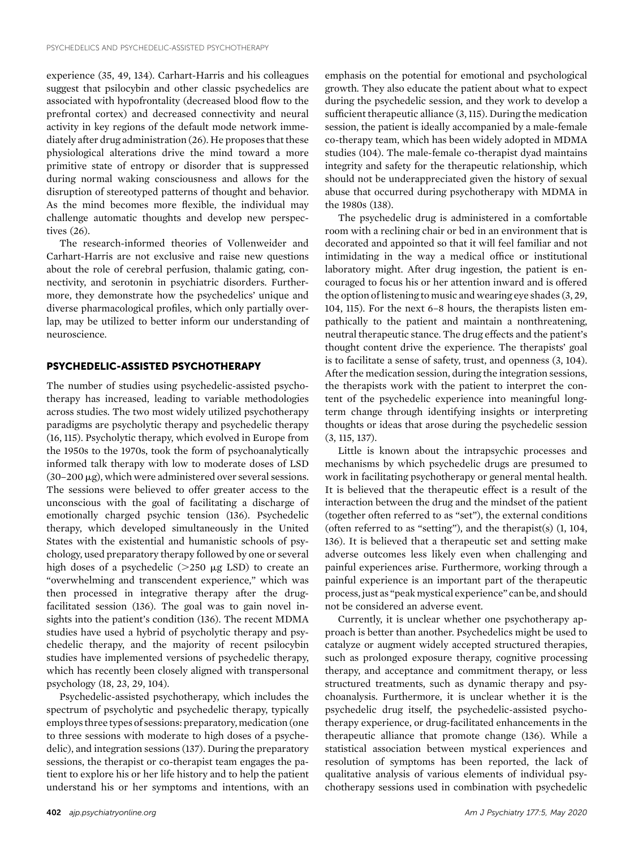experience (35, 49, 134). Carhart-Harris and his colleagues suggest that psilocybin and other classic psychedelics are associated with hypofrontality (decreased blood flow to the prefrontal cortex) and decreased connectivity and neural activity in key regions of the default mode network immediately after drug administration (26). He proposes that these physiological alterations drive the mind toward a more primitive state of entropy or disorder that is suppressed during normal waking consciousness and allows for the disruption of stereotyped patterns of thought and behavior. As the mind becomes more flexible, the individual may challenge automatic thoughts and develop new perspectives (26).

The research-informed theories of Vollenweider and Carhart-Harris are not exclusive and raise new questions about the role of cerebral perfusion, thalamic gating, connectivity, and serotonin in psychiatric disorders. Furthermore, they demonstrate how the psychedelics' unique and diverse pharmacological profiles, which only partially overlap, may be utilized to better inform our understanding of neuroscience.

## PSYCHEDELIC-ASSISTED PSYCHOTHERAPY

The number of studies using psychedelic-assisted psychotherapy has increased, leading to variable methodologies across studies. The two most widely utilized psychotherapy paradigms are psycholytic therapy and psychedelic therapy (16, 115). Psycholytic therapy, which evolved in Europe from the 1950s to the 1970s, took the form of psychoanalytically informed talk therapy with low to moderate doses of LSD  $(30-200 \,\mu g)$ , which were administered over several sessions. The sessions were believed to offer greater access to the unconscious with the goal of facilitating a discharge of emotionally charged psychic tension (136). Psychedelic therapy, which developed simultaneously in the United States with the existential and humanistic schools of psychology, used preparatory therapy followed by one or several high doses of a psychedelic  $(>250 \mu g$  LSD) to create an "overwhelming and transcendent experience," which was then processed in integrative therapy after the drugfacilitated session (136). The goal was to gain novel insights into the patient's condition (136). The recent MDMA studies have used a hybrid of psycholytic therapy and psychedelic therapy, and the majority of recent psilocybin studies have implemented versions of psychedelic therapy, which has recently been closely aligned with transpersonal psychology (18, 23, 29, 104).

Psychedelic-assisted psychotherapy, which includes the spectrum of psycholytic and psychedelic therapy, typically employs three types of sessions: preparatory, medication (one to three sessions with moderate to high doses of a psychedelic), and integration sessions (137). During the preparatory sessions, the therapist or co-therapist team engages the patient to explore his or her life history and to help the patient understand his or her symptoms and intentions, with an

emphasis on the potential for emotional and psychological growth. They also educate the patient about what to expect during the psychedelic session, and they work to develop a sufficient therapeutic alliance (3, 115). During the medication session, the patient is ideally accompanied by a male-female co-therapy team, which has been widely adopted in MDMA studies (104). The male-female co-therapist dyad maintains integrity and safety for the therapeutic relationship, which should not be underappreciated given the history of sexual abuse that occurred during psychotherapy with MDMA in the 1980s (138).

The psychedelic drug is administered in a comfortable room with a reclining chair or bed in an environment that is decorated and appointed so that it will feel familiar and not intimidating in the way a medical office or institutional laboratory might. After drug ingestion, the patient is encouraged to focus his or her attention inward and is offered the option of listening to music and wearing eye shades (3, 29, 104, 115). For the next 6–8 hours, the therapists listen empathically to the patient and maintain a nonthreatening, neutral therapeutic stance. The drug effects and the patient's thought content drive the experience. The therapists' goal is to facilitate a sense of safety, trust, and openness (3, 104). After the medication session, during the integration sessions, the therapists work with the patient to interpret the content of the psychedelic experience into meaningful longterm change through identifying insights or interpreting thoughts or ideas that arose during the psychedelic session (3, 115, 137).

Little is known about the intrapsychic processes and mechanisms by which psychedelic drugs are presumed to work in facilitating psychotherapy or general mental health. It is believed that the therapeutic effect is a result of the interaction between the drug and the mindset of the patient (together often referred to as "set"), the external conditions (often referred to as "setting"), and the therapist(s) (1, 104, 136). It is believed that a therapeutic set and setting make adverse outcomes less likely even when challenging and painful experiences arise. Furthermore, working through a painful experience is an important part of the therapeutic process, just as "peak mystical experience" can be, and should not be considered an adverse event.

Currently, it is unclear whether one psychotherapy approach is better than another. Psychedelics might be used to catalyze or augment widely accepted structured therapies, such as prolonged exposure therapy, cognitive processing therapy, and acceptance and commitment therapy, or less structured treatments, such as dynamic therapy and psychoanalysis. Furthermore, it is unclear whether it is the psychedelic drug itself, the psychedelic-assisted psychotherapy experience, or drug-facilitated enhancements in the therapeutic alliance that promote change (136). While a statistical association between mystical experiences and resolution of symptoms has been reported, the lack of qualitative analysis of various elements of individual psychotherapy sessions used in combination with psychedelic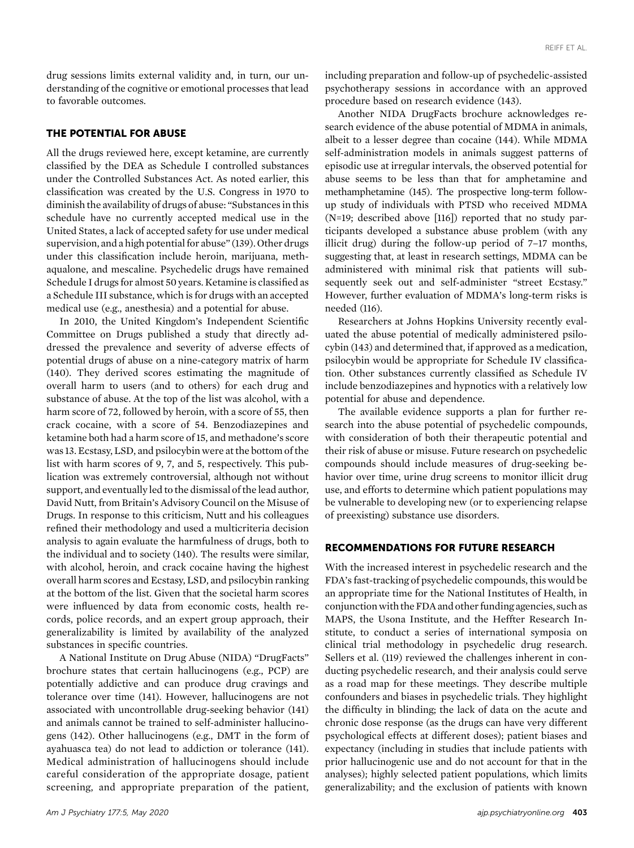drug sessions limits external validity and, in turn, our understanding of the cognitive or emotional processes that lead to favorable outcomes.

### THE POTENTIAL FOR ABUSE

All the drugs reviewed here, except ketamine, are currently classified by the DEA as Schedule I controlled substances under the Controlled Substances Act. As noted earlier, this classification was created by the U.S. Congress in 1970 to diminish the availability of drugs of abuse: "Substances in this schedule have no currently accepted medical use in the United States, a lack of accepted safety for use under medical supervision, and a high potential for abuse" (139). Other drugs under this classification include heroin, marijuana, methaqualone, and mescaline. Psychedelic drugs have remained Schedule I drugs for almost 50 years. Ketamine is classified as a Schedule III substance, which is for drugs with an accepted medical use (e.g., anesthesia) and a potential for abuse.

In 2010, the United Kingdom's Independent Scientific Committee on Drugs published a study that directly addressed the prevalence and severity of adverse effects of potential drugs of abuse on a nine-category matrix of harm (140). They derived scores estimating the magnitude of overall harm to users (and to others) for each drug and substance of abuse. At the top of the list was alcohol, with a harm score of 72, followed by heroin, with a score of 55, then crack cocaine, with a score of 54. Benzodiazepines and ketamine both had a harm score of 15, and methadone's score was 13. Ecstasy, LSD, and psilocybin were at the bottom of the list with harm scores of 9, 7, and 5, respectively. This publication was extremely controversial, although not without support, and eventually led to the dismissal of the lead author, David Nutt, from Britain's Advisory Council on the Misuse of Drugs. In response to this criticism, Nutt and his colleagues refined their methodology and used a multicriteria decision analysis to again evaluate the harmfulness of drugs, both to the individual and to society (140). The results were similar, with alcohol, heroin, and crack cocaine having the highest overall harm scores and Ecstasy, LSD, and psilocybin ranking at the bottom of the list. Given that the societal harm scores were influenced by data from economic costs, health records, police records, and an expert group approach, their generalizability is limited by availability of the analyzed substances in specific countries.

A National Institute on Drug Abuse (NIDA) "DrugFacts" brochure states that certain hallucinogens (e.g., PCP) are potentially addictive and can produce drug cravings and tolerance over time (141). However, hallucinogens are not associated with uncontrollable drug-seeking behavior (141) and animals cannot be trained to self-administer hallucinogens (142). Other hallucinogens (e.g., DMT in the form of ayahuasca tea) do not lead to addiction or tolerance (141). Medical administration of hallucinogens should include careful consideration of the appropriate dosage, patient screening, and appropriate preparation of the patient,

including preparation and follow-up of psychedelic-assisted psychotherapy sessions in accordance with an approved procedure based on research evidence (143).

Another NIDA DrugFacts brochure acknowledges research evidence of the abuse potential of MDMA in animals, albeit to a lesser degree than cocaine (144). While MDMA self-administration models in animals suggest patterns of episodic use at irregular intervals, the observed potential for abuse seems to be less than that for amphetamine and methamphetamine (145). The prospective long-term followup study of individuals with PTSD who received MDMA (N=19; described above [116]) reported that no study participants developed a substance abuse problem (with any illicit drug) during the follow-up period of 7–17 months, suggesting that, at least in research settings, MDMA can be administered with minimal risk that patients will subsequently seek out and self-administer "street Ecstasy." However, further evaluation of MDMA's long-term risks is needed (116).

Researchers at Johns Hopkins University recently evaluated the abuse potential of medically administered psilocybin (143) and determined that, if approved as a medication, psilocybin would be appropriate for Schedule IV classification. Other substances currently classified as Schedule IV include benzodiazepines and hypnotics with a relatively low potential for abuse and dependence.

The available evidence supports a plan for further research into the abuse potential of psychedelic compounds, with consideration of both their therapeutic potential and their risk of abuse or misuse. Future research on psychedelic compounds should include measures of drug-seeking behavior over time, urine drug screens to monitor illicit drug use, and efforts to determine which patient populations may be vulnerable to developing new (or to experiencing relapse of preexisting) substance use disorders.

#### RECOMMENDATIONS FOR FUTURE RESEARCH

With the increased interest in psychedelic research and the FDA's fast-tracking of psychedelic compounds, this would be an appropriate time for the National Institutes of Health, in conjunction with the FDA and other funding agencies, such as MAPS, the Usona Institute, and the Heffter Research Institute, to conduct a series of international symposia on clinical trial methodology in psychedelic drug research. Sellers et al. (119) reviewed the challenges inherent in conducting psychedelic research, and their analysis could serve as a road map for these meetings. They describe multiple confounders and biases in psychedelic trials. They highlight the difficulty in blinding; the lack of data on the acute and chronic dose response (as the drugs can have very different psychological effects at different doses); patient biases and expectancy (including in studies that include patients with prior hallucinogenic use and do not account for that in the analyses); highly selected patient populations, which limits generalizability; and the exclusion of patients with known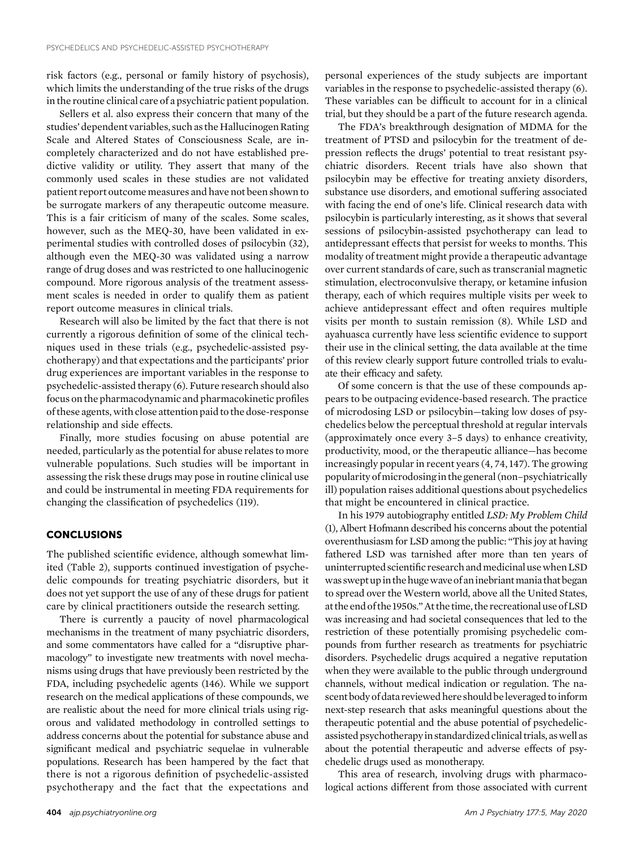risk factors (e.g., personal or family history of psychosis), which limits the understanding of the true risks of the drugs in the routine clinical care of a psychiatric patient population.

Sellers et al. also express their concern that many of the studies'dependent variables, such as the Hallucinogen Rating Scale and Altered States of Consciousness Scale, are incompletely characterized and do not have established predictive validity or utility. They assert that many of the commonly used scales in these studies are not validated patient report outcome measures and have not been shown to be surrogate markers of any therapeutic outcome measure. This is a fair criticism of many of the scales. Some scales, however, such as the MEQ-30, have been validated in experimental studies with controlled doses of psilocybin (32), although even the MEQ-30 was validated using a narrow range of drug doses and was restricted to one hallucinogenic compound. More rigorous analysis of the treatment assessment scales is needed in order to qualify them as patient report outcome measures in clinical trials.

Research will also be limited by the fact that there is not currently a rigorous definition of some of the clinical techniques used in these trials (e.g., psychedelic-assisted psychotherapy) and that expectations and the participants' prior drug experiences are important variables in the response to psychedelic-assisted therapy (6). Future research should also focus on the pharmacodynamic and pharmacokinetic profiles of these agents, with close attention paid to the dose-response relationship and side effects.

Finally, more studies focusing on abuse potential are needed, particularly as the potential for abuse relates to more vulnerable populations. Such studies will be important in assessing the risk these drugs may pose in routine clinical use and could be instrumental in meeting FDA requirements for changing the classification of psychedelics (119).

## **CONCLUSIONS**

The published scientific evidence, although somewhat limited (Table 2), supports continued investigation of psychedelic compounds for treating psychiatric disorders, but it does not yet support the use of any of these drugs for patient care by clinical practitioners outside the research setting.

There is currently a paucity of novel pharmacological mechanisms in the treatment of many psychiatric disorders, and some commentators have called for a "disruptive pharmacology" to investigate new treatments with novel mechanisms using drugs that have previously been restricted by the FDA, including psychedelic agents (146). While we support research on the medical applications of these compounds, we are realistic about the need for more clinical trials using rigorous and validated methodology in controlled settings to address concerns about the potential for substance abuse and significant medical and psychiatric sequelae in vulnerable populations. Research has been hampered by the fact that there is not a rigorous definition of psychedelic-assisted psychotherapy and the fact that the expectations and

personal experiences of the study subjects are important variables in the response to psychedelic-assisted therapy (6). These variables can be difficult to account for in a clinical trial, but they should be a part of the future research agenda.

The FDA's breakthrough designation of MDMA for the treatment of PTSD and psilocybin for the treatment of depression reflects the drugs' potential to treat resistant psychiatric disorders. Recent trials have also shown that psilocybin may be effective for treating anxiety disorders, substance use disorders, and emotional suffering associated with facing the end of one's life. Clinical research data with psilocybin is particularly interesting, as it shows that several sessions of psilocybin-assisted psychotherapy can lead to antidepressant effects that persist for weeks to months. This modality of treatment might provide a therapeutic advantage over current standards of care, such as transcranial magnetic stimulation, electroconvulsive therapy, or ketamine infusion therapy, each of which requires multiple visits per week to achieve antidepressant effect and often requires multiple visits per month to sustain remission (8). While LSD and ayahuasca currently have less scientific evidence to support their use in the clinical setting, the data available at the time of this review clearly support future controlled trials to evaluate their efficacy and safety.

Of some concern is that the use of these compounds appears to be outpacing evidence-based research. The practice of microdosing LSD or psilocybin—taking low doses of psychedelics below the perceptual threshold at regular intervals (approximately once every 3–5 days) to enhance creativity, productivity, mood, or the therapeutic alliance—has become increasingly popular in recent years (4, 74, 147). The growing popularity ofmicrodosingin the general (non–psychiatrically ill) population raises additional questions about psychedelics that might be encountered in clinical practice.

In his 1979 autobiography entitled LSD: My Problem Child (1), Albert Hofmann described his concerns about the potential overenthusiasm for LSD among the public: "This joy at having fathered LSD was tarnished after more than ten years of uninterrupted scientific research andmedicinal usewhen LSD was swept up in the huge wave of an inebriant mania that began to spread over the Western world, above all the United States, at the end of the 1950s."At the time, the recreational use ofLSD was increasing and had societal consequences that led to the restriction of these potentially promising psychedelic compounds from further research as treatments for psychiatric disorders. Psychedelic drugs acquired a negative reputation when they were available to the public through underground channels, without medical indication or regulation. The nascent body of data reviewed here should be leveraged to inform next-step research that asks meaningful questions about the therapeutic potential and the abuse potential of psychedelicassisted psychotherapy in standardized clinical trials, as well as about the potential therapeutic and adverse effects of psychedelic drugs used as monotherapy.

This area of research, involving drugs with pharmacological actions different from those associated with current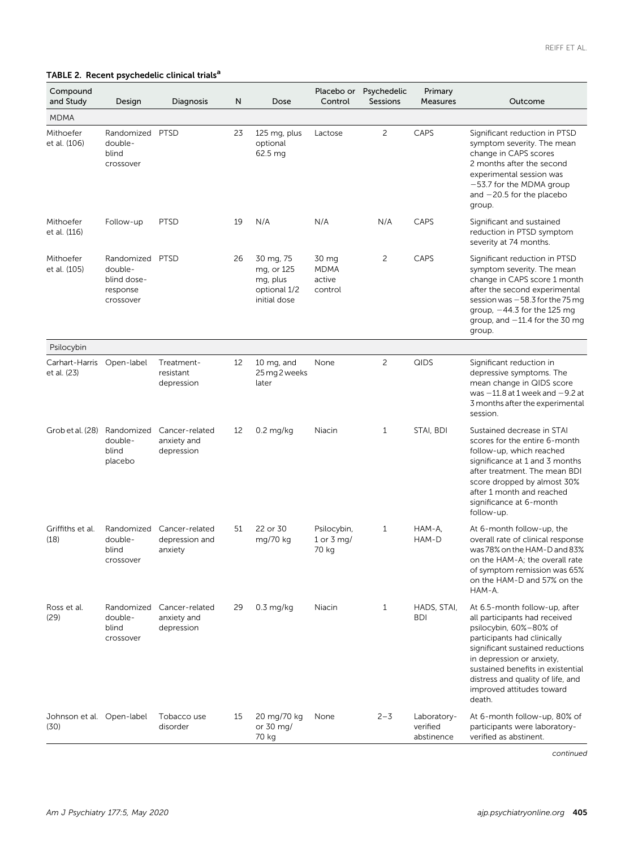# TABLE 2. Recent psychedelic clinical trials<sup>a</sup>

| Compound<br>and Study                    | Design                                                        | Diagnosis                                   | N  | Dose                                                                | Placebo or<br>Control                     | Psychedelic<br>Sessions | Primary<br>Measures                   | Outcome                                                                                                                                                                                                                                                                                                   |
|------------------------------------------|---------------------------------------------------------------|---------------------------------------------|----|---------------------------------------------------------------------|-------------------------------------------|-------------------------|---------------------------------------|-----------------------------------------------------------------------------------------------------------------------------------------------------------------------------------------------------------------------------------------------------------------------------------------------------------|
| <b>MDMA</b>                              |                                                               |                                             |    |                                                                     |                                           |                         |                                       |                                                                                                                                                                                                                                                                                                           |
| Mithoefer<br>et al. (106)                | Randomized<br>double-<br>blind<br>crossover                   | <b>PTSD</b>                                 | 23 | 125 mg, plus<br>optional<br>62.5 mg                                 | Lactose                                   | 2                       | CAPS                                  | Significant reduction in PTSD<br>symptom severity. The mean<br>change in CAPS scores<br>2 months after the second<br>experimental session was<br>$-53.7$ for the MDMA group<br>and $-20.5$ for the placebo<br>group.                                                                                      |
| Mithoefer<br>et al. (116)                | Follow-up                                                     | <b>PTSD</b>                                 | 19 | N/A                                                                 | N/A                                       | N/A                     | CAPS                                  | Significant and sustained<br>reduction in PTSD symptom<br>severity at 74 months.                                                                                                                                                                                                                          |
| Mithoefer<br>et al. (105)                | Randomized<br>double-<br>blind dose-<br>response<br>crossover | <b>PTSD</b>                                 | 26 | 30 mg, 75<br>mg, or 125<br>mg, plus<br>optional 1/2<br>initial dose | 30 mg<br><b>MDMA</b><br>active<br>control | 2                       | CAPS                                  | Significant reduction in PTSD<br>symptom severity. The mean<br>change in CAPS score 1 month<br>after the second experimental<br>session was $-58.3$ for the 75 mg<br>group, $-44.3$ for the 125 mg<br>group, and $-11.4$ for the 30 mg<br>group.                                                          |
| Psilocybin                               |                                                               |                                             |    |                                                                     |                                           |                         |                                       |                                                                                                                                                                                                                                                                                                           |
| Carhart-Harris Open-label<br>et al. (23) |                                                               | Treatment-<br>resistant<br>depression       | 12 | 10 mg, and<br>25 mg 2 weeks<br>later                                | None                                      | 2                       | <b>QIDS</b>                           | Significant reduction in<br>depressive symptoms. The<br>mean change in QIDS score<br>was $-11.8$ at 1 week and $-9.2$ at<br>3 months after the experimental<br>session.                                                                                                                                   |
| Grob et al. (28)                         | Randomized<br>double-<br>blind<br>placebo                     | Cancer-related<br>anxiety and<br>depression | 12 | $0.2 \text{ mg/kg}$                                                 | Niacin                                    | 1                       | STAI, BDI                             | Sustained decrease in STAI<br>scores for the entire 6-month<br>follow-up, which reached<br>significance at 1 and 3 months<br>after treatment. The mean BDI<br>score dropped by almost 30%<br>after 1 month and reached<br>significance at 6-month<br>follow-up.                                           |
| Griffiths et al.<br>(18)                 | Randomized<br>double-<br>blind<br>crossover                   | Cancer-related<br>depression and<br>anxiety | 51 | 22 or 30<br>mg/70 kg                                                | Psilocybin,<br>$1$ or $3$ mg/<br>70 kg    | 1                       | HAM-A,<br>HAM-D                       | At 6-month follow-up, the<br>overall rate of clinical response<br>was 78% on the HAM-D and 83%<br>on the HAM-A; the overall rate<br>of symptom remission was 65%<br>on the HAM-D and 57% on the<br>HAM-A.                                                                                                 |
| Ross et al.<br>(29)                      | Randomized<br>double-<br>blind<br>crossover                   | Cancer-related<br>anxiety and<br>depression | 29 | $0.3 \text{ mg/kg}$                                                 | Niacin                                    | 1                       | HADS, STAI,<br><b>BDI</b>             | At 6.5-month follow-up, after<br>all participants had received<br>psilocybin, 60%-80% of<br>participants had clinically<br>significant sustained reductions<br>in depression or anxiety,<br>sustained benefits in existential<br>distress and quality of life, and<br>improved attitudes toward<br>death. |
| Johnson et al. Open-label<br>(30)        |                                                               | Tobacco use<br>disorder                     | 15 | 20 mg/70 kg<br>or 30 mg/<br>70 kg                                   | None                                      | $2 - 3$                 | Laboratory-<br>verified<br>abstinence | At 6-month follow-up, 80% of<br>participants were laboratory-<br>verified as abstinent.                                                                                                                                                                                                                   |

continued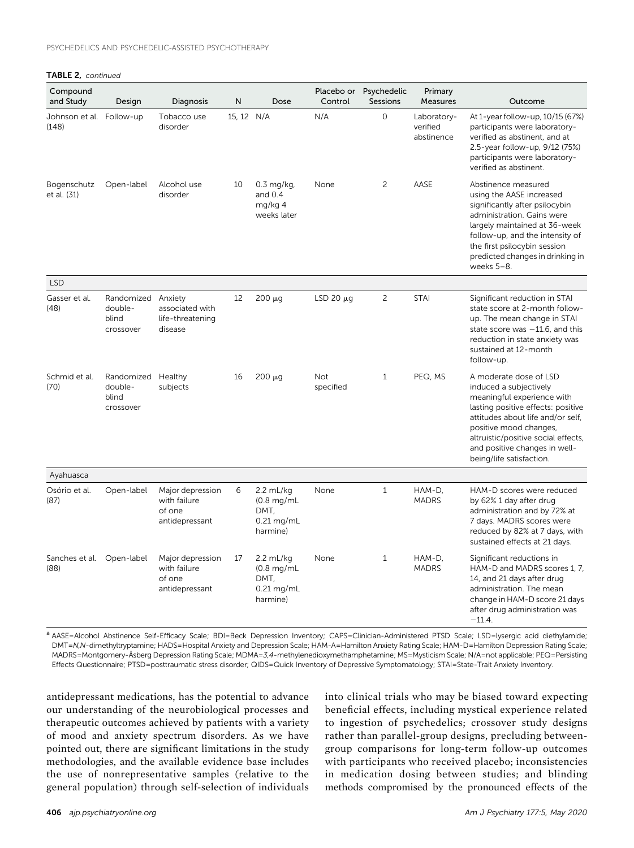|  | <b>TABLE 2, continued</b> |
|--|---------------------------|
|--|---------------------------|

| Compound<br>and Study             | Design                                      | Diagnosis                                                    | Ν          | Dose                                                                    | Control                 | Placebo or Psychedelic<br>Sessions | Primary<br>Measures                   | Outcome                                                                                                                                                                                                                                                                                 |
|-----------------------------------|---------------------------------------------|--------------------------------------------------------------|------------|-------------------------------------------------------------------------|-------------------------|------------------------------------|---------------------------------------|-----------------------------------------------------------------------------------------------------------------------------------------------------------------------------------------------------------------------------------------------------------------------------------------|
| Johnson et al. Follow-up<br>(148) |                                             | Tobacco use<br>disorder                                      | 15, 12 N/A |                                                                         | N/A                     | 0                                  | Laboratory-<br>verified<br>abstinence | At 1-year follow-up, 10/15 (67%)<br>participants were laboratory-<br>verified as abstinent, and at<br>2.5-year follow-up, 9/12 (75%)<br>participants were laboratory-<br>verified as abstinent.                                                                                         |
| Bogenschutz<br>et al. (31)        | Open-label                                  | Alcohol use<br>disorder                                      | 10         | $0.3$ mg/kg,<br>and $0.4$<br>mg/kg 4<br>weeks later                     | None                    | $\overline{2}$                     | AASE                                  | Abstinence measured<br>using the AASE increased<br>significantly after psilocybin<br>administration. Gains were<br>largely maintained at 36-week<br>follow-up, and the intensity of<br>the first psilocybin session<br>predicted changes in drinking in<br>weeks $5-8$ .                |
| <b>LSD</b>                        |                                             |                                                              |            |                                                                         |                         |                                    |                                       |                                                                                                                                                                                                                                                                                         |
| Gasser et al.<br>(48)             | Randomized<br>double-<br>blind<br>crossover | Anxiety<br>associated with<br>life-threatening<br>disease    | 12         | $200 \mu g$                                                             | LSD 20 $\mu$ g          | 2                                  | <b>STAI</b>                           | Significant reduction in STAI<br>state score at 2-month follow-<br>up. The mean change in STAI<br>state score was $-11.6$ , and this<br>reduction in state anxiety was<br>sustained at 12-month<br>follow-up.                                                                           |
| Schmid et al.<br>(70)             | Randomized<br>double-<br>blind<br>crossover | Healthy<br>subjects                                          | 16         | $200 \mu g$                                                             | <b>Not</b><br>specified | $\mathbf{1}$                       | PEQ, MS                               | A moderate dose of LSD<br>induced a subjectively<br>meaningful experience with<br>lasting positive effects: positive<br>attitudes about life and/or self,<br>positive mood changes,<br>altruistic/positive social effects,<br>and positive changes in well-<br>being/life satisfaction. |
| Ayahuasca                         |                                             |                                                              |            |                                                                         |                         |                                    |                                       |                                                                                                                                                                                                                                                                                         |
| Osório et al.<br>(87)             | Open-label                                  | Major depression<br>with failure<br>of one<br>antidepressant | 6          | $2.2$ mL/kg<br>$(0.8 \text{ mg/mL}$<br>DMT,<br>$0.21$ mg/mL<br>harmine) | None                    | $\mathbf{1}$                       | HAM-D,<br><b>MADRS</b>                | HAM-D scores were reduced<br>by 62% 1 day after drug<br>administration and by 72% at<br>7 days. MADRS scores were<br>reduced by 82% at 7 days, with<br>sustained effects at 21 days.                                                                                                    |
| Sanches et al. Open-label<br>(88) |                                             | Major depression<br>with failure<br>of one<br>antidepressant | 17         | $2.2$ mL/kg<br>$(0.8 \text{ mg/mL}$<br>DMT,<br>$0.21$ mg/mL<br>harmine) | None                    | $\mathbf{1}$                       | $HAM-D$<br><b>MADRS</b>               | Significant reductions in<br>HAM-D and MADRS scores 1, 7,<br>14, and 21 days after drug<br>administration. The mean<br>change in HAM-D score 21 days<br>after drug administration was<br>$-11.4.$                                                                                       |

a AASE=Alcohol Abstinence Self-Efficacy Scale; BDI=Beck Depression Inventory; CAPS=Clinician-Administered PTSD Scale; LSD=lysergic acid diethylamide; DMT=N,N-dimethyltryptamine; HADS=Hospital Anxiety and Depression Scale; HAM-A=Hamilton Anxiety Rating Scale; HAM-D=Hamilton Depression Rating Scale; MADRS=Montgomery-Åsberg Depression Rating Scale; MDMA=3,4-methylenedioxymethamphetamine; MS=Mysticism Scale; N/A=not applicable; PEQ=Persisting Effects Questionnaire; PTSD=posttraumatic stress disorder; QIDS=Quick Inventory of Depressive Symptomatology; STAI=State-Trait Anxiety Inventory.

antidepressant medications, has the potential to advance our understanding of the neurobiological processes and therapeutic outcomes achieved by patients with a variety of mood and anxiety spectrum disorders. As we have pointed out, there are significant limitations in the study methodologies, and the available evidence base includes the use of nonrepresentative samples (relative to the general population) through self-selection of individuals

into clinical trials who may be biased toward expecting beneficial effects, including mystical experience related to ingestion of psychedelics; crossover study designs rather than parallel-group designs, precluding betweengroup comparisons for long-term follow-up outcomes with participants who received placebo; inconsistencies in medication dosing between studies; and blinding methods compromised by the pronounced effects of the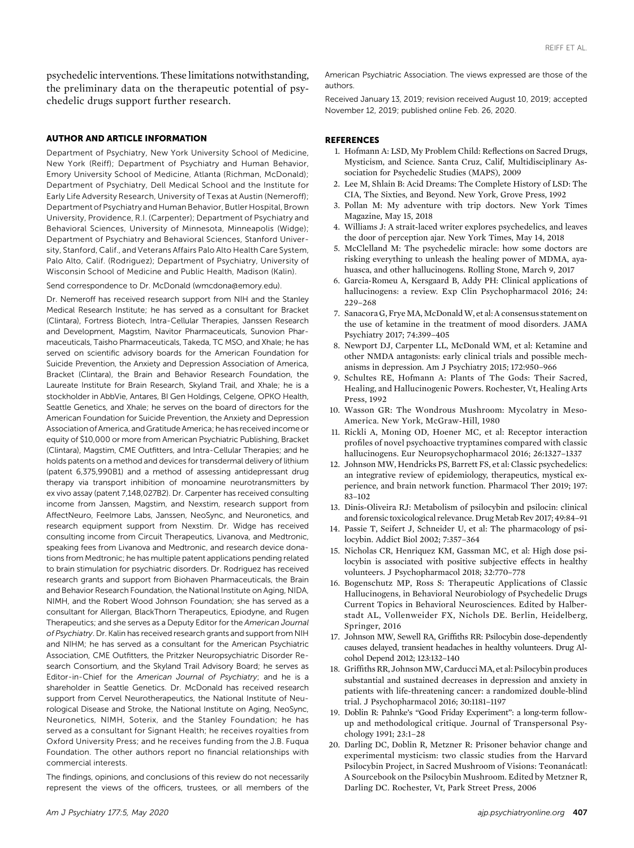psychedelic interventions. These limitations notwithstanding, the preliminary data on the therapeutic potential of psychedelic drugs support further research.

#### AUTHOR AND ARTICLE INFORMATION

Department of Psychiatry, New York University School of Medicine, New York (Reiff); Department of Psychiatry and Human Behavior, Emory University School of Medicine, Atlanta (Richman, McDonald); Department of Psychiatry, Dell Medical School and the Institute for Early Life Adversity Research, University of Texas at Austin (Nemeroff); Department of Psychiatry and Human Behavior, Butler Hospital, Brown University, Providence, R.I. (Carpenter); Department of Psychiatry and Behavioral Sciences, University of Minnesota, Minneapolis (Widge); Department of Psychiatry and Behavioral Sciences, Stanford University, Stanford, Calif., and Veterans Affairs Palo Alto Health Care System, Palo Alto, Calif. (Rodriguez); Department of Psychiatry, University of Wisconsin School of Medicine and Public Health, Madison (Kalin).

Send correspondence to Dr. McDonald ([wmcdona@emory.edu](mailto:wmcdona@emory.edu)).

Dr. Nemeroff has received research support from NIH and the Stanley Medical Research Institute; he has served as a consultant for Bracket (Clintara), Fortress Biotech, Intra-Cellular Therapies, Janssen Research and Development, Magstim, Navitor Pharmaceuticals, Sunovion Pharmaceuticals, Taisho Pharmaceuticals, Takeda, TC MSO, and Xhale; he has served on scientific advisory boards for the American Foundation for Suicide Prevention, the Anxiety and Depression Association of America, Bracket (Clintara), the Brain and Behavior Research Foundation, the Laureate Institute for Brain Research, Skyland Trail, and Xhale; he is a stockholder in AbbVie, Antares, BI Gen Holdings, Celgene, OPKO Health, Seattle Genetics, and Xhale; he serves on the board of directors for the American Foundation for Suicide Prevention, the Anxiety and Depression Association of America, and Gratitude America; he has received income or equity of \$10,000 or more from American Psychiatric Publishing, Bracket (Clintara), Magstim, CME Outfitters, and Intra-Cellular Therapies; and he holds patents on a method and devices for transdermal delivery of lithium (patent 6,375,990B1) and a method of assessing antidepressant drug therapy via transport inhibition of monoamine neurotransmitters by ex vivo assay (patent 7,148,027B2). Dr. Carpenter has received consulting income from Janssen, Magstim, and Nexstim, research support from AffectNeuro, Feelmore Labs, Janssen, NeoSync, and Neuronetics, and research equipment support from Nexstim. Dr. Widge has received consulting income from Circuit Therapeutics, Livanova, and Medtronic, speaking fees from Livanova and Medtronic, and research device donations from Medtronic; he has multiple patent applications pending related to brain stimulation for psychiatric disorders. Dr. Rodriguez has received research grants and support from Biohaven Pharmaceuticals, the Brain and Behavior Research Foundation, the National Institute on Aging, NIDA, NIMH, and the Robert Wood Johnson Foundation; she has served as a consultant for Allergan, BlackThorn Therapeutics, Epiodyne, and Rugen Therapeutics; and she serves as a Deputy Editor for the American Journal of Psychiatry. Dr. Kalin has received research grants and support from NIH and NIHM; he has served as a consultant for the American Psychiatric Association, CME Outfitters, the Pritzker Neuropsychiatric Disorder Research Consortium, and the Skyland Trail Advisory Board; he serves as Editor-in-Chief for the American Journal of Psychiatry; and he is a shareholder in Seattle Genetics. Dr. McDonald has received research support from Cervel Neurotherapeutics, the National Institute of Neurological Disease and Stroke, the National Institute on Aging, NeoSync, Neuronetics, NIMH, Soterix, and the Stanley Foundation; he has served as a consultant for Signant Health; he receives royalties from Oxford University Press; and he receives funding from the J.B. Fuqua Foundation. The other authors report no financial relationships with commercial interests.

The findings, opinions, and conclusions of this review do not necessarily represent the views of the officers, trustees, or all members of the American Psychiatric Association. The views expressed are those of the authors.

Received January 13, 2019; revision received August 10, 2019; accepted November 12, 2019; published online Feb. 26, 2020.

#### REFERENCES

- 1. Hofmann A: LSD, My Problem Child: Reflections on Sacred Drugs, Mysticism, and Science. Santa Cruz, Calif, Multidisciplinary Association for Psychedelic Studies (MAPS), 2009
- 2. Lee M, Shlain B: Acid Dreams: The Complete History of LSD: The CIA, The Sixties, and Beyond. New York, Grove Press, 1992
- 3. Pollan M: My adventure with trip doctors. New York Times Magazine, May 15, 2018
- 4. Williams J: A strait-laced writer explores psychedelics, and leaves the door of perception ajar. New York Times, May 14, 2018
- 5. McClelland M: The psychedelic miracle: how some doctors are risking everything to unleash the healing power of MDMA, ayahuasca, and other hallucinogens. Rolling Stone, March 9, 2017
- 6. Garcia-Romeu A, Kersgaard B, Addy PH: Clinical applications of hallucinogens: a review. Exp Clin Psychopharmacol 2016; 24: 229–268
- 7. Sanacora G, Frye MA, McDonald W, et al: A consensus statement on the use of ketamine in the treatment of mood disorders. JAMA Psychiatry 2017; 74:399–405
- 8. Newport DJ, Carpenter LL, McDonald WM, et al: Ketamine and other NMDA antagonists: early clinical trials and possible mechanisms in depression. Am J Psychiatry 2015; 172:950–966
- 9. Schultes RE, Hofmann A: Plants of The Gods: Their Sacred, Healing, and Hallucinogenic Powers. Rochester, Vt, Healing Arts Press, 1992
- 10. Wasson GR: The Wondrous Mushroom: Mycolatry in Meso-America. New York, McGraw-Hill, 1980
- 11. Rickli A, Moning OD, Hoener MC, et al: Receptor interaction profiles of novel psychoactive tryptamines compared with classic hallucinogens. Eur Neuropsychopharmacol 2016; 26:1327–1337
- 12. Johnson MW, Hendricks PS, Barrett FS, et al: Classic psychedelics: an integrative review of epidemiology, therapeutics, mystical experience, and brain network function. Pharmacol Ther 2019; 197: 83–102
- 13. Dinis-Oliveira RJ: Metabolism of psilocybin and psilocin: clinical and forensic toxicological relevance. DrugMetab Rev 2017; 49:84–91
- 14. Passie T, Seifert J, Schneider U, et al: The pharmacology of psilocybin. Addict Biol 2002; 7:357–364
- 15. Nicholas CR, Henriquez KM, Gassman MC, et al: High dose psilocybin is associated with positive subjective effects in healthy volunteers. J Psychopharmacol 2018; 32:770–778
- 16. Bogenschutz MP, Ross S: Therapeutic Applications of Classic Hallucinogens, in Behavioral Neurobiology of Psychedelic Drugs Current Topics in Behavioral Neurosciences. Edited by Halberstadt AL, Vollenweider FX, Nichols DE. Berlin, Heidelberg, Springer, 2016
- 17. Johnson MW, Sewell RA, Griffiths RR: Psilocybin dose-dependently causes delayed, transient headaches in healthy volunteers. Drug Alcohol Depend 2012; 123:132–140
- 18. Griffiths RR, JohnsonMW, CarducciMA, et al: Psilocybin produces substantial and sustained decreases in depression and anxiety in patients with life-threatening cancer: a randomized double-blind trial. J Psychopharmacol 2016; 30:1181–1197
- 19. Doblin R: Pahnke's "Good Friday Experiment": a long-term followup and methodological critique. Journal of Transpersonal Psychology 1991; 23:1–28
- 20. Darling DC, Doblin R, Metzner R: Prisoner behavior change and experimental mysticism: two classic studies from the Harvard Psilocybin Project, in Sacred Mushroom of Visions: Teonanácatl: A Sourcebook on the Psilocybin Mushroom. Edited by Metzner R, Darling DC. Rochester, Vt, Park Street Press, 2006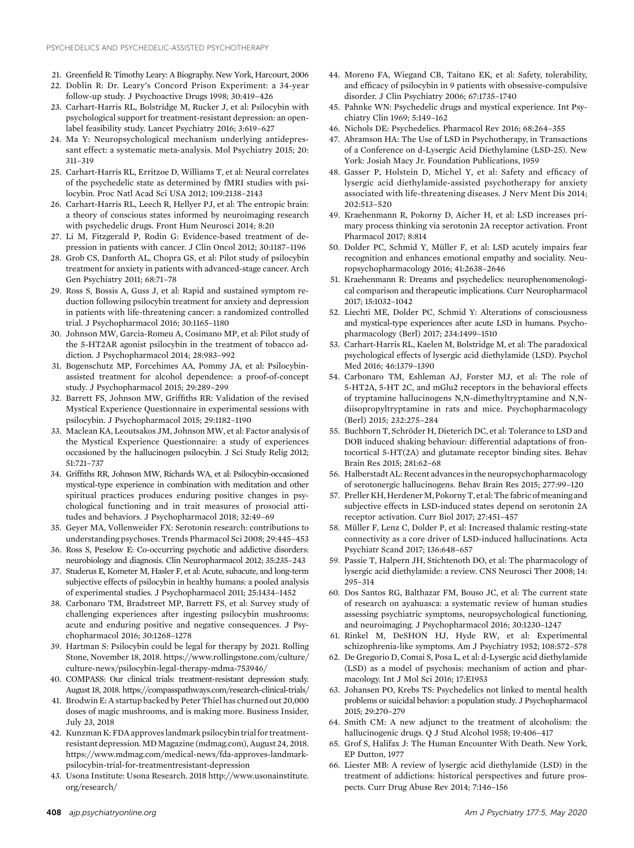- 21. Greenfield R: Timothy Leary: A Biography. New York, Harcourt, 2006
- 22. Doblin R: Dr. Leary's Concord Prison Experiment: a 34-year follow-up study. J Psychoactive Drugs 1998; 30:419–426
- 23. Carhart-Harris RL, Bolstridge M, Rucker J, et al: Psilocybin with psychological support for treatment-resistant depression: an openlabel feasibility study. Lancet Psychiatry 2016; 3:619–627
- 24. Ma Y: Neuropsychological mechanism underlying antidepressant effect: a systematic meta-analysis. Mol Psychiatry 2015; 20: 311–319
- 25. Carhart-Harris RL, Erritzoe D, Williams T, et al: Neural correlates of the psychedelic state as determined by fMRI studies with psilocybin. Proc Natl Acad Sci USA 2012; 109:2138–2143
- 26. Carhart-Harris RL, Leech R, Hellyer PJ, et al: The entropic brain: a theory of conscious states informed by neuroimaging research with psychedelic drugs. Front Hum Neurosci 2014; 8:20
- 27. Li M, Fitzgerald P, Rodin G: Evidence-based treatment of depression in patients with cancer. J Clin Oncol 2012; 30:1187–1196
- 28. Grob CS, Danforth AL, Chopra GS, et al: Pilot study of psilocybin treatment for anxiety in patients with advanced-stage cancer. Arch Gen Psychiatry 2011; 68:71–78
- 29. Ross S, Bossis A, Guss J, et al: Rapid and sustained symptom reduction following psilocybin treatment for anxiety and depression in patients with life-threatening cancer: a randomized controlled trial. J Psychopharmacol 2016; 30:1165–1180
- 30. Johnson MW, Garcia-Romeu A, Cosimano MP, et al: Pilot study of the 5-HT2AR agonist psilocybin in the treatment of tobacco addiction. J Psychopharmacol 2014; 28:983–992
- 31. Bogenschutz MP, Forcehimes AA, Pommy JA, et al: Psilocybinassisted treatment for alcohol dependence: a proof-of-concept study. J Psychopharmacol 2015; 29:289–299
- 32. Barrett FS, Johnson MW, Griffiths RR: Validation of the revised Mystical Experience Questionnaire in experimental sessions with psilocybin. J Psychopharmacol 2015; 29:1182–1190
- 33. Maclean KA, Leoutsakos JM, Johnson MW, et al: Factor analysis of the Mystical Experience Questionnaire: a study of experiences occasioned by the hallucinogen psilocybin. J Sci Study Relig 2012; 51:721–737
- 34. Griffiths RR, Johnson MW, Richards WA, et al: Psilocybin-occasioned mystical-type experience in combination with meditation and other spiritual practices produces enduring positive changes in psychological functioning and in trait measures of prosocial attitudes and behaviors. J Psychopharmacol 2018; 32:49–69
- 35. Geyer MA, Vollenweider FX: Serotonin research: contributions to understanding psychoses. Trends Pharmacol Sci 2008; 29:445–453
- 36. Ross S, Peselow E: Co-occurring psychotic and addictive disorders: neurobiology and diagnosis. Clin Neuropharmacol 2012; 35:235–243
- 37. Studerus E, Kometer M, Hasler F, et al: Acute, subacute, and long-term subjective effects of psilocybin in healthy humans: a pooled analysis of experimental studies. J Psychopharmacol 2011; 25:1434–1452
- 38. Carbonaro TM, Bradstreet MP, Barrett FS, et al: Survey study of challenging experiences after ingesting psilocybin mushrooms: acute and enduring positive and negative consequences. J Psychopharmacol 2016; 30:1268–1278
- 39. Hartman S: Psilocybin could be legal for therapy by 2021. Rolling Stone, November 18, 2018. [https://www.rollingstone.com/culture/](https://www.rollingstone.com/culture/culture-news/psilocybin-legal-therapy-mdma-753946/) [culture-news/psilocybin-legal-therapy-mdma-753946/](https://www.rollingstone.com/culture/culture-news/psilocybin-legal-therapy-mdma-753946/)
- 40. COMPASS: Our clinical trials: treatment-resistant depression study. August 18, 2018.<https://compasspathways.com/research-clinical-trials/>
- 41. Brodwin E: A startup backed by Peter Thiel has churned out 20,000 doses of magic mushrooms, and is making more. Business Insider, July 23, 2018
- 42. Kunzman K: FDA approveslandmark psilocybin trial for treatmentresistant depression. MDMagazine (mdmag.com), August 24, 2018. [https://www.mdmag.com/medical-news/fda-approves-landmark](https://www.mdmag.com/medical-news/fda-approves-landmark-psilocybin-trial-for-treatmentresistant-depression)[psilocybin-trial-for-treatmentresistant-depression](https://www.mdmag.com/medical-news/fda-approves-landmark-psilocybin-trial-for-treatmentresistant-depression)
- 43. Usona Institute: Usona Research. 2018 [http://www.usonainstitute.](http://www.usonainstitute.org/research/) [org/research/](http://www.usonainstitute.org/research/)
- 44. Moreno FA, Wiegand CB, Taitano EK, et al: Safety, tolerability, and efficacy of psilocybin in 9 patients with obsessive-compulsive disorder. J Clin Psychiatry 2006; 67:1735–1740
- 45. Pahnke WN: Psychedelic drugs and mystical experience. Int Psychiatry Clin 1969; 5:149–162
- 46. Nichols DE: Psychedelics. Pharmacol Rev 2016; 68:264–355
- 47. Abramson HA: The Use of LSD in Psychotherapy, in Transactions of a Conference on d-Lysergic Acid Diethylamine (LSD-25). New York: Josiah Macy Jr. Foundation Publications, 1959
- 48. Gasser P, Holstein D, Michel Y, et al: Safety and efficacy of lysergic acid diethylamide-assisted psychotherapy for anxiety associated with life-threatening diseases. J Nerv Ment Dis 2014; 202:513–520
- 49. Kraehenmann R, Pokorny D, Aicher H, et al: LSD increases primary process thinking via serotonin 2A receptor activation. Front Pharmacol 2017; 8:814
- 50. Dolder PC, Schmid Y, Müller F, et al: LSD acutely impairs fear recognition and enhances emotional empathy and sociality. Neuropsychopharmacology 2016; 41:2638–2646
- 51. Kraehenmann R: Dreams and psychedelics: neurophenomenological comparison and therapeutic implications. Curr Neuropharmacol 2017; 15:1032–1042
- 52. Liechti ME, Dolder PC, Schmid Y: Alterations of consciousness and mystical-type experiences after acute LSD in humans. Psychopharmacology (Berl) 2017; 234:1499–1510
- 53. Carhart-Harris RL, Kaelen M, Bolstridge M, et al: The paradoxical psychological effects of lysergic acid diethylamide (LSD). Psychol Med 2016; 46:1379–1390
- 54. Carbonaro TM, Eshleman AJ, Forster MJ, et al: The role of 5-HT2A, 5-HT 2C, and mGlu2 receptors in the behavioral effects of tryptamine hallucinogens N,N-dimethyltryptamine and N,Ndiisopropyltryptamine in rats and mice. Psychopharmacology (Berl) 2015; 232:275–284
- 55. Buchborn T, Schröder H, Dieterich DC, et al: Tolerance to LSD and DOB induced shaking behaviour: differential adaptations of frontocortical 5-HT(2A) and glutamate receptor binding sites. Behav Brain Res 2015; 281:62–68
- 56. Halberstadt AL: Recent advances in the neuropsychopharmacology of serotonergic hallucinogens. Behav Brain Res 2015; 277:99–120
- 57. Preller KH, Herdener M, Pokorny T, et al: The fabric of meaning and subjective effects in LSD-induced states depend on serotonin 2A receptor activation. Curr Biol 2017; 27:451–457
- 58. Müller F, Lenz C, Dolder P, et al: Increased thalamic resting-state connectivity as a core driver of LSD-induced hallucinations. Acta Psychiatr Scand 2017; 136:648–657
- 59. Passie T, Halpern JH, Stichtenoth DO, et al: The pharmacology of lysergic acid diethylamide: a review. CNS Neurosci Ther 2008; 14: 295–314
- 60. Dos Santos RG, Balthazar FM, Bouso JC, et al: The current state of research on ayahuasca: a systematic review of human studies assessing psychiatric symptoms, neuropsychological functioning, and neuroimaging. J Psychopharmacol 2016; 30:1230–1247
- 61. Rinkel M, DeSHON HJ, Hyde RW, et al: Experimental schizophrenia-like symptoms. Am J Psychiatry 1952; 108:572–578
- 62. De Gregorio D, Comai S, Posa L, et al: d-Lysergic acid diethylamide (LSD) as a model of psychosis: mechanism of action and pharmacology. Int J Mol Sci 2016; 17:E1953
- 63. Johansen PO, Krebs TS: Psychedelics not linked to mental health problems or suicidal behavior: a population study. J Psychopharmacol 2015; 29:270–279
- 64. Smith CM: A new adjunct to the treatment of alcoholism: the hallucinogenic drugs. Q J Stud Alcohol 1958; 19:406–417
- 65. Grof S, Halifax J: The Human Encounter With Death. New York, EP Dutton, 1977
- 66. Liester MB: A review of lysergic acid diethylamide (LSD) in the treatment of addictions: historical perspectives and future prospects. Curr Drug Abuse Rev 2014; 7:146–156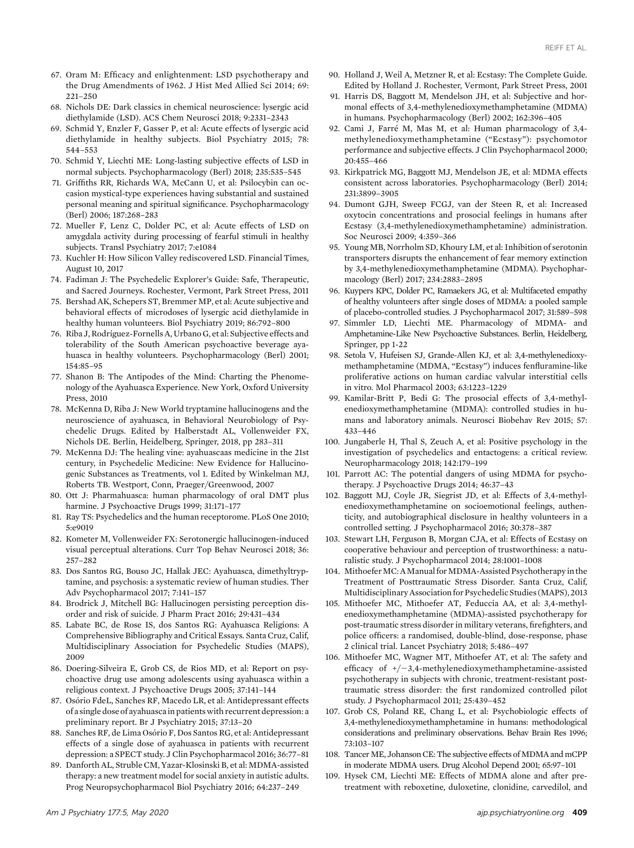- 67. Oram M: Efficacy and enlightenment: LSD psychotherapy and the Drug Amendments of 1962. J Hist Med Allied Sci 2014; 69: 221–250
- 68. Nichols DE: Dark classics in chemical neuroscience: lysergic acid diethylamide (LSD). ACS Chem Neurosci 2018; 9:2331–2343
- 69. Schmid Y, Enzler F, Gasser P, et al: Acute effects of lysergic acid diethylamide in healthy subjects. Biol Psychiatry 2015; 78: 544–553
- 70. Schmid Y, Liechti ME: Long-lasting subjective effects of LSD in normal subjects. Psychopharmacology (Berl) 2018; 235:535–545
- 71. Griffiths RR, Richards WA, McCann U, et al: Psilocybin can occasion mystical-type experiences having substantial and sustained personal meaning and spiritual significance. Psychopharmacology (Berl) 2006; 187:268–283
- 72. Mueller F, Lenz C, Dolder PC, et al: Acute effects of LSD on amygdala activity during processing of fearful stimuli in healthy subjects. Transl Psychiatry 2017; 7:e1084
- 73. Kuchler H: How Silicon Valley rediscovered LSD. Financial Times, August 10, 2017
- 74. Fadiman J: The Psychedelic Explorer's Guide: Safe, Therapeutic, and Sacred Journeys. Rochester, Vermont, Park Street Press, 2011
- 75. Bershad AK, Schepers ST, Bremmer MP, et al: Acute subjective and behavioral effects of microdoses of lysergic acid diethylamide in healthy human volunteers. Biol Psychiatry 2019; 86:792–800
- 76. Riba J, Rodríguez-Fornells A, Urbano G, et al: Subjective effects and tolerability of the South American psychoactive beverage ayahuasca in healthy volunteers. Psychopharmacology (Berl) 2001; 154:85–95
- 77. Shanon B: The Antipodes of the Mind: Charting the Phenomenology of the Ayahuasca Experience. New York, Oxford University Press, 2010
- 78. McKenna D, Riba J: New World tryptamine hallucinogens and the neuroscience of ayahuasca, in Behavioral Neurobiology of Psychedelic Drugs. Edited by Halberstadt AL, Vollenweider FX, Nichols DE. Berlin, Heidelberg, Springer, 2018, pp 283–311
- 79. McKenna DJ: The healing vine: ayahuascaas medicine in the 21st century, in Psychedelic Medicine: New Evidence for Hallucinogenic Substances as Treatments, vol 1. Edited by Winkelman MJ, Roberts TB. Westport, Conn, Praeger/Greenwood, 2007
- 80. Ott J: Pharmahuasca: human pharmacology of oral DMT plus harmine. J Psychoactive Drugs 1999; 31:171–177
- 81. Ray TS: Psychedelics and the human receptorome. PLoS One 2010; 5:e9019
- 82. Kometer M, Vollenweider FX: Serotonergic hallucinogen-induced visual perceptual alterations. Curr Top Behav Neurosci 2018; 36: 257–282
- 83. Dos Santos RG, Bouso JC, Hallak JEC: Ayahuasca, dimethyltryptamine, and psychosis: a systematic review of human studies. Ther Adv Psychopharmacol 2017; 7:141–157
- 84. Brodrick J, Mitchell BG: Hallucinogen persisting perception disorder and risk of suicide. J Pharm Pract 2016; 29:431–434
- 85. Labate BC, de Rose IS, dos Santos RG: Ayahuasca Religions: A Comprehensive Bibliography and Critical Essays. Santa Cruz, Calif, Multidisciplinary Association for Psychedelic Studies (MAPS), 2009
- 86. Doering-Silveira E, Grob CS, de Rios MD, et al: Report on psychoactive drug use among adolescents using ayahuasca within a religious context. J Psychoactive Drugs 2005; 37:141–144
- 87. Osório FdeL, Sanches RF, Macedo LR, et al: Antidepressant effects of a single dose of ayahuascain patients with recurrent depression: a preliminary report. Br J Psychiatry 2015; 37:13–20
- 88. Sanches RF, de Lima Osório F, Dos Santos RG, et al: Antidepressant effects of a single dose of ayahuasca in patients with recurrent depression: a SPECT study. J Clin Psychopharmacol 2016; 36:77–81
- 89. Danforth AL, Struble CM, Yazar-Klosinski B, et al: MDMA-assisted therapy: a new treatment model for social anxiety in autistic adults. Prog Neuropsychopharmacol Biol Psychiatry 2016; 64:237–249
- 90. Holland J, Weil A, Metzner R, et al: Ecstasy: The Complete Guide. Edited by Holland J. Rochester, Vermont, Park Street Press, 2001
- 91. Harris DS, Baggott M, Mendelson JH, et al: Subjective and hormonal effects of 3,4-methylenedioxymethamphetamine (MDMA) in humans. Psychopharmacology (Berl) 2002; 162:396–405
- 92. Cami J, Farré M, Mas M, et al: Human pharmacology of 3,4 methylenedioxymethamphetamine ("Ecstasy"): psychomotor performance and subjective effects. J Clin Psychopharmacol 2000; 20:455–466
- 93. Kirkpatrick MG, Baggott MJ, Mendelson JE, et al: MDMA effects consistent across laboratories. Psychopharmacology (Berl) 2014; 231:3899–3905
- 94. Dumont GJH, Sweep FCGJ, van der Steen R, et al: Increased oxytocin concentrations and prosocial feelings in humans after Ecstasy (3,4-methylenedioxymethamphetamine) administration. Soc Neurosci 2009; 4:359–366
- 95. Young MB, Norrholm SD, Khoury LM, et al: Inhibition of serotonin transporters disrupts the enhancement of fear memory extinction by 3,4-methylenedioxymethamphetamine (MDMA). Psychopharmacology (Berl) 2017; 234:2883–2895
- 96. Kuypers KPC, Dolder PC, Ramaekers JG, et al: Multifaceted empathy of healthy volunteers after single doses of MDMA: a pooled sample of placebo-controlled studies. J Psychopharmacol 2017; 31:589–598
- 97. Simmler LD, Liechti ME. Pharmacology of MDMA- and Amphetamine-Like New Psychoactive Substances. Berlin, Heidelberg, Springer, pp 1-22
- 98. Setola V, Hufeisen SJ, Grande-Allen KJ, et al: 3,4-methylenedioxymethamphetamine (MDMA, "Ecstasy") induces fenfluramine-like proliferative actions on human cardiac valvular interstitial cells in vitro. Mol Pharmacol 2003; 63:1223–1229
- 99. Kamilar-Britt P, Bedi G: The prosocial effects of 3,4-methylenedioxymethamphetamine (MDMA): controlled studies in humans and laboratory animals. Neurosci Biobehav Rev 2015; 57: 433–446
- 100. Jungaberle H, Thal S, Zeuch A, et al: Positive psychology in the investigation of psychedelics and entactogens: a critical review. Neuropharmacology 2018; 142:179–199
- 101. Parrott AC: The potential dangers of using MDMA for psychotherapy. J Psychoactive Drugs 2014; 46:37–43
- 102. Baggott MJ, Coyle JR, Siegrist JD, et al: Effects of 3,4-methylenedioxymethamphetamine on socioemotional feelings, authenticity, and autobiographical disclosure in healthy volunteers in a controlled setting. J Psychopharmacol 2016; 30:378–387
- 103. Stewart LH, Ferguson B, Morgan CJA, et al: Effects of Ecstasy on cooperative behaviour and perception of trustworthiness: a naturalistic study. J Psychopharmacol 2014; 28:1001–1008
- 104. Mithoefer MC: A Manual for MDMA-Assisted Psychotherapy in the Treatment of Posttraumatic Stress Disorder. Santa Cruz, Calif, MultidisciplinaryAssociation for Psychedelic Studies (MAPS), 2013
- 105. Mithoefer MC, Mithoefer AT, Feduccia AA, et al: 3,4-methylenedioxymethamphetamine (MDMA)-assisted psychotherapy for post-traumatic stress disorder in military veterans, firefighters, and police officers: a randomised, double-blind, dose-response, phase 2 clinical trial. Lancet Psychiatry 2018; 5:486–497
- 106. Mithoefer MC, Wagner MT, Mithoefer AT, et al: The safety and efficacy of  $+/-3$ ,4-methylenedioxymethamphetamine-assisted psychotherapy in subjects with chronic, treatment-resistant posttraumatic stress disorder: the first randomized controlled pilot study. J Psychopharmacol 2011; 25:439–452
- 107. Grob CS, Poland RE, Chang L, et al: Psychobiologic effects of 3,4-methylenedioxymethamphetamine in humans: methodological considerations and preliminary observations. Behav Brain Res 1996; 73:103–107
- 108. Tancer ME, Johanson CE: The subjective effects of MDMA and mCPP in moderate MDMA users. Drug Alcohol Depend 2001; 65:97–101
- 109. Hysek CM, Liechti ME: Effects of MDMA alone and after pretreatment with reboxetine, duloxetine, clonidine, carvedilol, and